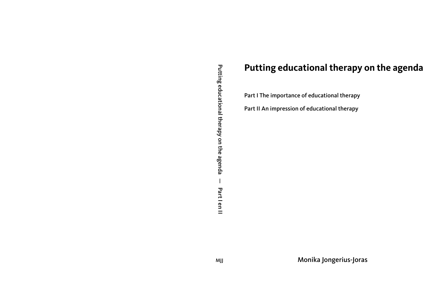# **Putting educational therapy on the agenda**

Part I The importance of educational therapy

Part II An impression of educational therapy

Monika Jongerius-Joras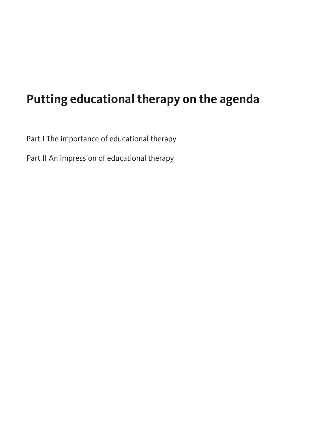# **Putting educational therapy on the agenda**

Part I The importance of educational therapy

Part II An impression of educational therapy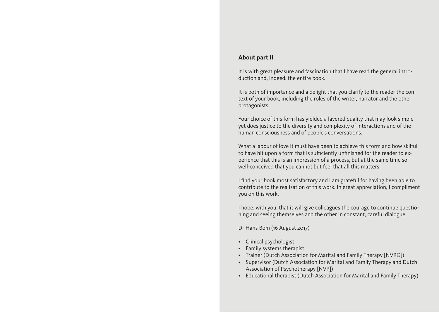#### **About part II**

It is with great pleasure and fascination that I have read the general introduction and, indeed, the entire book.

It is both of importance and a delight that you clarify to the reader the context of your book, including the roles of the writer, narrator and the other protagonists.

Your choice of this form has yielded a layered quality that may look simple yet does justice to the diversity and complexity of interactions and of the human consciousness and of people's conversations.

What a labour of love it must have been to achieve this form and how skilful to have hit upon a form that is sufficiently unfinished for the reader to experience that this is an impression of a process, but at the same time so well-conceived that you cannot but feel that all this matters.

I find your book most satisfactory and I am grateful for having been able to contribute to the realisation of this work. In great appreciation, I compliment you on this work.

I hope, with you, that it will give colleagues the courage to continue questioning and seeing themselves and the other in constant, careful dialogue.

Dr Hans Bom (16 August 2017)

- Clinical psychologist
- Family systems therapist
- Trainer (Dutch Association for Marital and Family Therapy [NVRG])
- Supervisor (Dutch Association for Marital and Family Therapy and Dutch Association of Psychotherapy [NVP])
- Educational therapist (Dutch Association for Marital and Family Therapy)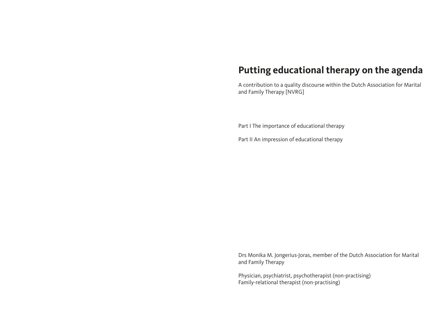# **Putting educational therapy on the agenda**

A contribution to a quality discourse within the Dutch Association for Marital and Family Therapy [NVRG]

Part I The importance of educational therapy

Part II An impression of educational therapy

Drs Monika M. Jongerius-Joras, member of the Dutch Association for Marital and Family Therapy

Physician, psychiatrist, psychotherapist (non-practising) Family-relational therapist (non-practising)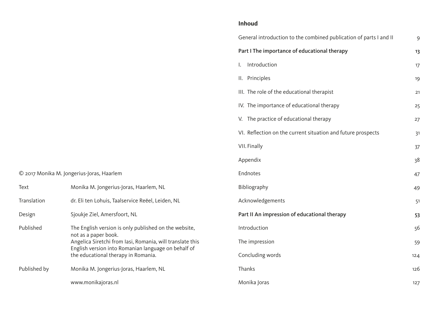## **Inhoud**

|                                                           | General introduction to the combined publication of parts I and II          | 9   |
|-----------------------------------------------------------|-----------------------------------------------------------------------------|-----|
|                                                           | Part I The importance of educational therapy                                | 13  |
|                                                           | Introduction<br>$\mathbf{L}$                                                | 17  |
|                                                           | II. Principles                                                              | 19  |
|                                                           | III. The role of the educational therapist                                  | 21  |
|                                                           | IV. The importance of educational therapy                                   | 25  |
|                                                           | V. The practice of educational therapy                                      | 27  |
|                                                           | VI. Reflection on the current situation and future prospects                | 31  |
|                                                           | VII. Finally                                                                | 37  |
|                                                           | Appendix                                                                    | 38  |
| © 2017 Monika M. Jongerius-Joras, Haarlem                 | Endnotes                                                                    | 47  |
| Monika M. Jongerius-Joras, Haarlem, NL                    | Bibliography                                                                | 49  |
| dr. Eli ten Lohuis, Taalservice Reëel, Leiden, NL         | Acknowledgements                                                            | 51  |
| Sjoukje Ziel, Amersfoort, NL                              | Part II An impression of educational therapy                                | 53  |
| The English version is only published on the website,     | Introduction                                                                | 56  |
| Angelica Siretchi from Iasi, Romania, will translate this | The impression                                                              | 59  |
| the educational therapy in Romania.                       | Concluding words                                                            | 124 |
| Monika M. Jongerius-Joras, Haarlem, NL                    | Thanks                                                                      | 126 |
| www.monikajoras.nl                                        | Monika Joras                                                                | 127 |
|                                                           | not as a paper book.<br>English version into Romanian language on behalf of |     |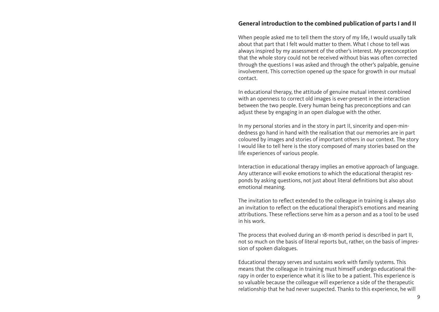#### <span id="page-5-0"></span>**General introduction to the combined publication of parts I and II**

When people asked me to tell them the story of my life, I would usually talk about that part that I felt would matter to them. What I chose to tell was always inspired by my assessment of the other's interest. My preconception that the whole story could not be received without bias was often corrected through the questions I was asked and through the other's palpable, genuine involvement. This correction opened up the space for growth in our mutual contact.

In educational therapy, the attitude of genuine mutual interest combined with an openness to correct old images is ever-present in the interaction between the two people. Every human being has preconceptions and can adjust these by engaging in an open dialogue with the other.

In my personal stories and in the story in part II, sincerity and open-mindedness go hand in hand with the realisation that our memories are in part coloured by images and stories of important others in our context. The story I would like to tell here is the story composed of many stories based on the life experiences of various people.

Interaction in educational therapy implies an emotive approach of language. Any utterance will evoke emotions to which the educational therapist responds by asking questions, not just about literal definitions but also about emotional meaning.

The invitation to reflect extended to the colleague in training is always also an invitation to reflect on the educational therapist's emotions and meaning attributions. These reflections serve him as a person and as a tool to be used in his work.

The process that evolved during an 18-month period is described in part II, not so much on the basis of literal reports but, rather, on the basis of impression of spoken dialogues.

Educational therapy serves and sustains work with family systems. This means that the colleague in training must himself undergo educational therapy in order to experience what it is like to be a patient. This experience is so valuable because the colleague will experience a side of the therapeutic relationship that he had never suspected. Thanks to this experience, he will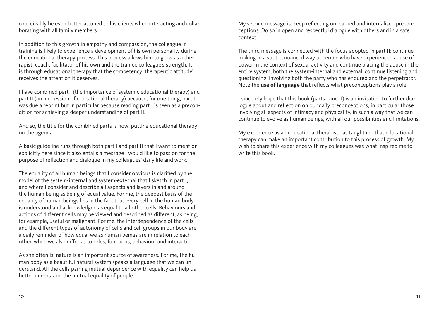conceivably be even better attuned to his clients when interacting and collaborating with all family members.

In addition to this growth in empathy and compassion, the colleague in training is likely to experience a development of his own personality during the educational therapy process. This process allows him to grow as a therapist, coach, facilitator of his own and the trainee colleague's strength. It is through educational therapy that the competency 'therapeutic attitude' receives the attention it deserves.

I have combined part I (the importance of systemic educational therapy) and part II (an impression of educational therapy) because, for one thing, part I was due a reprint but in particular because reading part I is seen as a precondition for achieving a deeper understanding of part II.

And so, the title for the combined parts is now: putting educational therapy on the agenda.

A basic guideline runs through both part I and part II that I want to mention explicitly here since it also entails a message I would like to pass on for the purpose of reflection and dialogue in my colleagues' daily life and work.

The equality of all human beings that I consider obvious is clarified by the model of the system-internal and system-external that I sketch in part I, and where I consider and describe all aspects and layers in and around the human being as being of equal value. For me, the deepest basis of the equality of human beings lies in the fact that every cell in the human body is understood and acknowledged as equal to all other cells. Behaviours and actions of different cells may be viewed and described as different, as being, for example, useful or malignant. For me, the interdependence of the cells and the different types of autonomy of cells and cell groups in our body are a daily reminder of how equal we as human beings are in relation to each other, while we also differ as to roles, functions, behaviour and interaction.

As she often is, nature is an important source of awareness. For me, the human body as a beautiful natural system speaks a language that we can understand. All the cells pairing mutual dependence with equality can help us better understand the mutual equality of people.

My second message is: keep reflecting on learned and internalised preconceptions. Do so in open and respectful dialogue with others and in a safe context.

The third message is connected with the focus adopted in part II: continue looking in a subtle, nuanced way at people who have experienced abuse of power in the context of sexual activity and continue placing the abuse in the entire system, both the system-internal and external; continue listening and questioning, involving both the party who has endured and the perpetrator. Note the **use of language** that reflects what preconceptions play a role.

I sincerely hope that this book (parts I and II) is an invitation to further dialogue about and reflection on our daily preconceptions, in particular those involving all aspects of intimacy and physicality, in such a way that we can continue to evolve as human beings, with all our possibilities and limitations.

My experience as an educational therapist has taught me that educational therapy can make an important contribution to this process of growth. My wish to share this experience with my colleagues was what inspired me to write this book.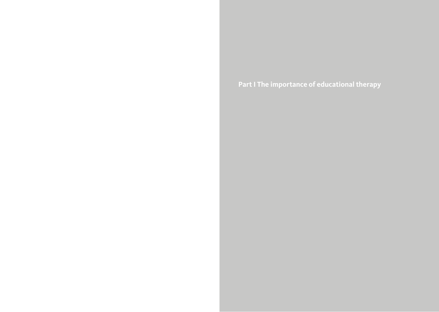<span id="page-7-0"></span>**Part I The importance of educational therapy**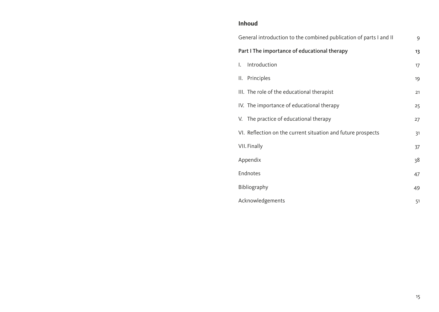## **Inhoud**

|    | General introduction to the combined publication of parts I and II | 9  |
|----|--------------------------------------------------------------------|----|
|    | Part I The importance of educational therapy                       | 13 |
| I. | Introduction                                                       | 17 |
|    | II. Principles                                                     | 19 |
|    | III. The role of the educational therapist                         | 21 |
|    | IV. The importance of educational therapy                          | 25 |
|    | V. The practice of educational therapy                             | 27 |
|    | VI. Reflection on the current situation and future prospects       | 31 |
|    | VII. Finally                                                       | 37 |
|    | Appendix                                                           | 38 |
|    | Endnotes                                                           | 47 |
|    | Bibliography                                                       | 49 |
|    | Acknowledgements                                                   | 51 |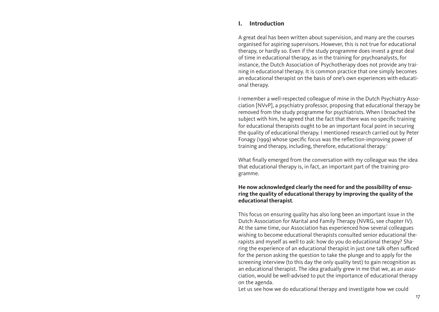#### <span id="page-9-0"></span>**I. Introduction**

A great deal has been written about supervision, and many are the courses organised for aspiring supervisors. However, this is not true for educational therapy, or hardly so. Even if the study programme does invest a great deal of time in educational therapy, as in the training for psychoanalysts, for instance, the Dutch Association of Psychotherapy does not provide any training in educational therapy. It is common practice that one simply becomes an educational therapist on the basis of one's own experiences with educational therapy.

I remember a well-respected colleague of mine in the Dutch Psychiatry Association [NVvP], a psychiatry professor, proposing that educational therapy be removed from the study programme for psychiatrists. When I broached the subject with him, he agreed that the fact that there was no specific training for educational therapists ought to be an important focal point in securing the quality of educational therapy. I mentioned research carried out by Peter Fonagy (1999) whose specific focus was the reflection-improving power of training and therapy, including, therefore, educational therapy.1

What finally emerged from the conversation with my colleague was the idea that educational therapy is, in fact, an important part of the training programme.

#### **He now acknowledged clearly the need for and the possibility of ensuring the quality of educational therapy by improving the quality of the educational therapist**.

This focus on ensuring quality has also long been an important issue in the Dutch Association for Marital and Family Therapy (NVRG, see chapter IV). At the same time, our Association has experienced how several colleagues wishing to become educational therapists consulted senior educational therapists and myself as well to ask: how do you do educational therapy? Sharing the experience of an educational therapist in just one talk often sufficed for the person asking the question to take the plunge and to apply for the screening interview (to this day the only quality test) to gain recognition as an educational therapist. The idea gradually grew in me that we, as an association, would be well-advised to put the importance of educational therapy on the agenda.

Let us see how we do educational therapy and investigate how we could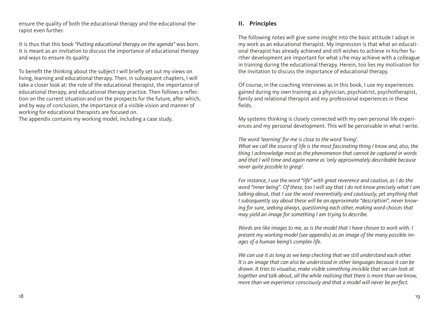<span id="page-10-0"></span>ensure the quality of both the educational therapy and the educational therapist even further.

It is thus that this book *"Putting educational therapy on the agenda"* was born. It is meant as an invitation to discuss the importance of educational therapy and ways to ensure its quality.

To benefit the thinking about the subject I will briefly set out my views on living, learning and educational therapy. Then, in subsequent chapters, I will take a closer look at: the role of the educational therapist, the importance of educational therapy, and educational therapy practice. Then follows a reflection on the current situation and on the prospects for the future, after which, and by way of conclusion, the importance of a visible vision and manner of working for educational therapists are focused on.

The appendix contains my working model, including a case study.

## **II. Principles**

The following notes will give some insight into the basic attitude I adopt in my work as an educational therapist. My impression is that what an educational therapist has already achieved and still wishes to achieve in his/her further development are important for what s/he may achieve with a colleague in training during the educational therapy. Herein, too lies my motivation for the invitation to discuss the importance of educational therapy.

Of course, in the coaching interviews as in this book, I use my experiences gained during my own training as a physician, psychiatrist, psychotherapist, family and relational therapist and my professional experiences in these fields.

My systems thinking is closely connected with my own personal life experiences and my personal development. This will be perceivable in what I write.

*The word 'learning' for me is close to the word 'living'.*

*What we call the source of life is the most fascinating thing I know and, also, the thing I acknowledge most as the phenomenon that cannot be captured in words and that I will time and again name as 'only approximately describable because never quite possible to grasp'.*

*For instance, I use the word "life" with great reverence and caution, as I do the word "inner being". Of these, too I will say that I do not know precisely what I am talking about, that I use the word reverentially and cautiously, yet anything that I subsequently say about these will be an approximate "description", never knowing for sure, seeking always, questioning each other, making word choices that may yield an image for something I am trying to describe.*

*Words are like images to me, as is the model that I have chosen to work with. I present my working model (see appendix) as an image of the many possible images of a human being's complex life.*

*We can use it as long as we keep checking that we still understand each other. It is an image that can also be understood in other languages because it can be drawn. It tries to visualise, make visible something invisible that we can look at together and talk about, all the while realising that there is more than we know, more than we experience consciously and that a model will never be perfect.*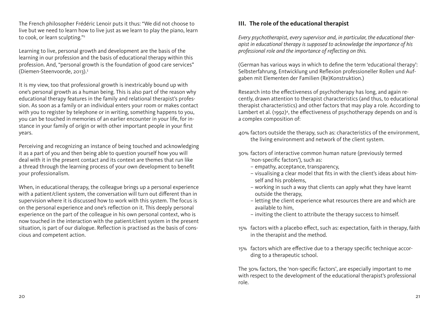<span id="page-11-0"></span>The French philosopher Frédéric Lenoir puts it thus: "We did not choose to live but we need to learn how to live just as we learn to play the piano, learn to cook, or learn sculpting."<sup>2</sup>

Learning to live, personal growth and development are the basis of the learning in our profession and the basis of educational therapy within this profession. And, "personal growth is the foundation of good care services" (Diemen-Steenvoorde, 2013).3

It is my view, too that professional growth is inextricably bound up with one's personal growth as a human being. This is also part of the reason why educational therapy features in the family and relational therapist's profession. As soon as a family or an individual enters your room or makes contact with you to register by telephone or in writing, something happens to you, you can be touched in memories of an earlier encounter in your life, for instance in your family of origin or with other important people in your first years.

Perceiving and recognizing an instance of being touched and acknowledging it as a part of you and then being able to question yourself how you will deal with it in the present contact and its context are themes that run like a thread through the learning process of your own development to benefit your professionalism.

When, in educational therapy, the colleague brings up a personal experience with a patient/client system, the conversation will turn out different than in supervision where it is discussed how to work with this system. The focus is on the personal experience and one's reflection on it. This deeply personal experience on the part of the colleague in his own personal context, who is now touched in the interaction with the patient/client system in the present situation, is part of our dialogue. Reflection is practised as the basis of conscious and competent action.

## **III. The role of the educational therapist**

*Every psychotherapist, every supervisor and, in particular, the educational therapist in educational therapy is supposed to acknowledge the importance of his professional role and the importance of reflecting on this.*

(German has various ways in which to define the term 'educational therapy': Selbsterfahrung, Entwicklung und Reflexion professioneller Rollen und Aufgaben mit Elementen der Familien (Re)Konstruktion.)

Research into the effectiveness of psychotherapy has long, and again recently, drawn attention to therapist characteristics (and thus, to educational therapist characteristics) and other factors that may play a role. According to Lambert et al. (1992)<sup>4</sup>, the effectiveness of psychotherapy depends on and is a complex composition of:

- 40% factors outside the therapy, such as: characteristics of the environment, the living environment and network of the client system.
- 30% factors of interactive common human nature (previously termed 'non-specific factors'), such as:
	- empathy, acceptance, transparency,
	- visualising a clear model that fits in with the client's ideas about himself and his problems,
	- working in such a way that clients can apply what they have learnt outside the therapy,
	- letting the client experience what resources there are and which are available to him,
	- inviting the client to attribute the therapy success to himself.
- 15% factors with a placebo effect, such as: expectation, faith in therapy, faith in the therapist and the method.
- 15% factors which are effective due to a therapy specific technique according to a therapeutic school.

The 30% factors, the 'non-specific factors', are especially important to me with respect to the development of the educational therapist's professional role.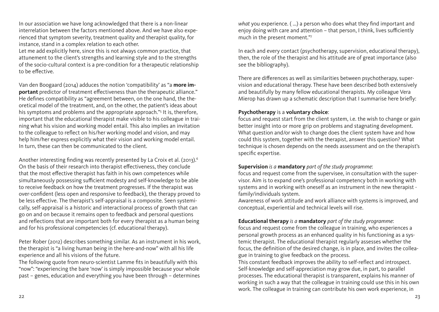In our association we have long acknowledged that there is a non-linear interrelation between the factors mentioned above. And we have also experienced that symptom severity, treatment quality and therapist quality, for instance, stand in a complex relation to each other.

Let me add explicitly here, since this is not always common practice, that attunement to the client's strengths and learning style and to the strengths of the socio-cultural context is a pre-condition for a therapeutic relationship to be effective.

Van den Boogaard (2014) adduces the notion 'compatibility' as "a **more important** predictor of treatment effectiveness than the therapeutic alliance." He defines compatibility as "agreement between, on the one hand, the theoretical model of the treatment, and, on the other, the patient's ideas about his symptoms and problems and the appropriate approach."<sup>5</sup> It is, therefore, important that the educational therapist make visible to his colleague in training what his vision and working model entail. This also implies an invitation to the colleague to reflect on his/her working model and vision, and may help him/her express explicitly what their vision and working model entail. In turn, these can then be communicated to the client.

Another interesting finding was recently presented by La Croix et al. (2013).<sup>6</sup> On the basis of their research into therapist effectiveness, they conclude that the most effective therapist has faith in his own competences while simultaneously possessing sufficient modesty and self-knowledge to be able to receive feedback on how the treatment progresses. If the therapist was over-confident (less open and responsive to feedback), the therapy proved to be less effective. The therapist's self-appraisal is a composite. Seen systemically, self-appraisal is a historic and interactional process of growth that can go on and on because it remains open to feedback and personal questions and reflections that are important both for every therapist as a human being and for his professional competencies (cf. educational therapy).

Peter Rober (2012) describes something similar. As an instrument in his work, the therapist is "a living human being in the here-and-now" with all his life experience and all his visions of the future.

The following quote from neuro-scientist Lamme fits in beautifully with this "now": "experiencing the bare 'now' is simply impossible because your whole past – genes, education and everything you have been through – determines *what* you experience. ( ...) a person who does what they find important and enjoy doing with care and attention – that person, I think, lives sufficiently much in the present moment."7

In each and every contact (psychotherapy, supervision, educational therapy), then, the role of the therapist and his attitude are of great importance (also see the bibliography).

There are differences as well as similarities between psychotherapy, supervision and educational therapy. These have been described both extensively and beautifully by many fellow educational therapists. My colleague Vera Mierop has drawn up a schematic description that I summarise here briefly:

#### **Psychotherapy** is a **voluntary choice**:

focus and request start from the client system, i.e. the wish to change or gain better insight into or more grip on problems and stagnating development. What question and/or wish to change does the client system have and how could this system, together with the therapist, answer this question? What technique is chosen depends on the needs assessment and on the therapist's specific expertise.

#### **Supervision** *is a* **mandatory** *part of the study programme*:

focus and request come from the supervisee, in consultation with the supervisor. Aim is to expand one's professional competency both in working with systems and in working with oneself as an instrument in the new therapist family/individuals system.

Awareness of work attitude and work alliance with systems is improved, and conceptual, experiential and technical levels will rise.

#### **Educational therapy** *is a* **mandatory** *part of the study programme*:

focus and request come from the colleague in training, who experiences a personal growth process as an enhanced quality in his functioning as a systemic therapist. The educational therapist regularly assesses whether the focus, the definition of the desired change, is in place, and invites the colleague in training to give feedback on the process.

This constant feedback improves the ability to self-reflect and introspect. Self-knowledge and self-appreciation may grow due, in part, to parallel processes. The educational therapist is transparent, explains his manner of working in such a way that the colleague in training could use this in his own work. The colleague in training can contribute his own work experience, in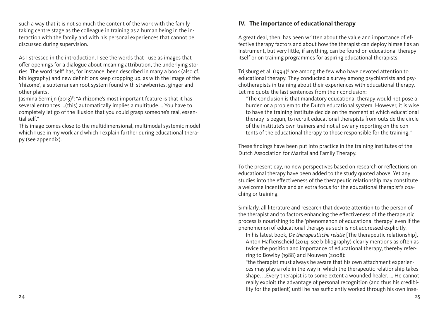<span id="page-13-0"></span>such a way that it is not so much the content of the work with the family taking centre stage as the colleague in training as a human being in the interaction with the family and with his personal experiences that cannot be discussed during supervision.

As I stressed in the introduction, I see the words that I use as images that offer openings for a dialogue about meaning attribution, the underlying stories. The word 'self' has, for instance, been described in many a book (also cf. bibliography) and new definitions keep cropping up, as with the image of the 'rhizome', a subterranean root system found with strawberries, ginger and other plants.

Jasmina Sermijn (2013)<sup>8</sup>: "A rhizome's most important feature is that it has several entrances ...(this) automatically implies a multitude.... You have to completely let go of the illusion that you could grasp someone's real, essential self."

This image comes close to the multidimensional, multimodal systemic model which I use in my work and which I explain further during educational therapy (see appendix).

## **IV. The importance of educational therapy**

A great deal, then, has been written about the value and importance of effective therapy factors and about how the therapist can deploy himself as an instrument, but very little, if anything, can be found on educational therapy itself or on training programmes for aspiring educational therapists.

Trijsburg et al.  $(1994)^9$  are among the few who have devoted attention to educational therapy. They conducted a survey among psychiatrists and psychotherapists in training about their experiences with educational therapy. Let me quote the last sentences from their conclusion:

"The conclusion is that mandatory educational therapy would not pose a burden or a problem to the Dutch educational system. However, it is wise to have the training institute decide on the moment at which educational therapy is begun, to recruit educational therapists from outside the circle of the institute's own trainers and not allow any reporting on the contents of the educational therapy to those responsible for the training."

These findings have been put into practice in the training institutes of the Dutch Association for Marital and Family Therapy.

To the present day, no new perspectives based on research or reflections on educational therapy have been added to the study quoted above. Yet any studies into the effectiveness of the therapeutic relationship may constitute a welcome incentive and an extra focus for the educational therapist's coaching or training.

Similarly, all literature and research that devote attention to the person of the therapist and to factors enhancing the effectiveness of the therapeutic process is nourishing to the 'phenomenon of educational therapy' even if the phenomenon of educational therapy as such is not addressed explicitly.

In his latest book, *De therapeutische relatie* [The therapeutic relationship], Anton Hafkenscheid (2014, see bibliography) clearly mentions as often as twice the position and importance of educational therapy, thereby referring to Bowlby (1988) and Nouwen (2008):

"the therapist must always be aware that his own attachment experiences may play a role in the way in which the therapeutic relationship takes shape. ...Every therapist is to some extent a wounded healer. ... He cannot really exploit the advantage of personal recognition (and thus his credibility for the patient) until he has sufficiently worked through his own inse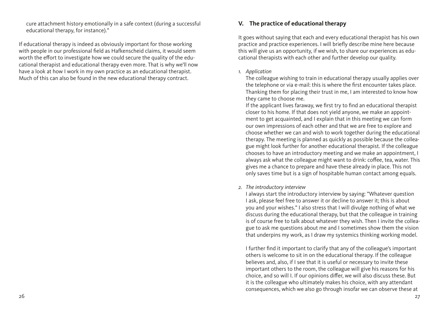<span id="page-14-0"></span>cure attachment history emotionally in a safe context (during a successful educational therapy, for instance)."

If educational therapy is indeed as obviously important for those working with people in our professional field as Hafkenscheid claims, it would seem worth the effort to investigate how we could secure the quality of the educational therapist and educational therapy even more. That is why we'll now have a look at how I work in my own practice as an educational therapist. Much of this can also be found in the new educational therapy contract.

### **V. The practice of educational therapy**

It goes without saying that each and every educational therapist has his own practice and practice experiences. I will briefly describe mine here because this will give us an opportunity, if we wish, to share our experiences as educational therapists with each other and further develop our quality.

#### *1. Application*

The colleague wishing to train in educational therapy usually applies over the telephone or via e-mail: this is where the first encounter takes place. Thanking them for placing their trust in me, I am interested to know how they came to choose me.

If the applicant lives faraway, we first try to find an educational therapist closer to his home. If that does not yield anyone, we make an appointment to get acquainted, and I explain that in this meeting we can form our own impressions of each other and that we are free to explore and choose whether we can and wish to work together during the educational therapy. The meeting is planned as quickly as possible because the colleague might look further for another educational therapist. If the colleague chooses to have an introductory meeting and we make an appointment, I always ask what the colleague might want to drink: coffee, tea, water. This gives me a chance to prepare and have these already in place. This not only saves time but is a sign of hospitable human contact among equals.

#### *2. The introductory interview*

I always start the introductory interview by saying: "Whatever question I ask, please feel free to answer it or decline to answer it; this is about you and your wishes." I also stress that I will divulge nothing of what we discuss during the educational therapy, but that the colleague in training is of course free to talk about whatever they wish. Then I invite the colleague to ask me questions about me and I sometimes show them the vision that underpins my work, as I draw my systemics thinking working model.

I further find it important to clarify that any of the colleague's important others is welcome to sit in on the educational therapy. If the colleague believes and, also, if I see that it is useful or necessary to invite these important others to the room, the colleague will give his reasons for his choice, and so will I. If our opinions differ, we will also discuss these. But it is the colleague who ultimately makes his choice, with any attendant consequences, which we also go through insofar we can observe these at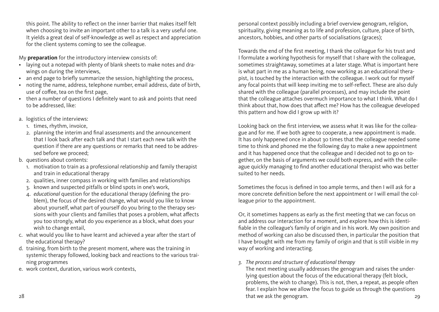this point. The ability to reflect on the inner barrier that makes itself felt when choosing to invite an important other to a talk is a very useful one. It yields a great deal of self-knowledge as well as respect and appreciation for the client systems coming to see the colleague.

My **preparation** for the introductory interview consists of:

- laying out a notepad with plenty of blank sheets to make notes and drawings on during the interviews,
- an end page to briefly summarize the session, highlighting the process,
- noting the name, address, telephone number, email address, date of birth, use of coffee, tea on the first page,
- then a number of questions I definitely want to ask and points that need to be addressed, like:
- a. logistics of the interviews:
	- 1. times, rhythm, invoice,
	- 2. planning the interim and final assessments and the announcement that I look back after each talk and that I start each new talk with the question if there are any questions or remarks that need to be addressed before we proceed;
- b. questions about contents:
	- 1. motivation to train as a professional relationship and family therapist and train in educational therapy
	- 2. qualities, inner compass in working with families and relationships
	- 3. known and suspected pitfalls or blind spots in one's work,
	- 4. *educational* question for the educational therapy (defining the problem), the focus of the desired change, what would you like to know about yourself, what part of yourself do you bring to the therapy sessions with your clients and families that poses a problem, what affects you too strongly, what do you experience as a block, what does your wish to change entail,
- c. what would you like to have learnt and achieved a year after the start of the educational therapy?
- d. training, from birth to the present moment, where was the training in systemic therapy followed, looking back and reactions to the various training programmes
- e. work context, duration, various work contexts,

personal context possibly including a brief overview genogram, religion, spirituality, giving meaning as to life and profession, culture, place of birth, ancestors, hobbies, and other parts of socialisations (graces);

Towards the end of the first meeting, I thank the colleague for his trust and I formulate a working hypothesis for myself that I share with the colleague, sometimes straightaway, sometimes at a later stage. What is important here is what part in me as a human being, now working as an educational therapist, is touched by the interaction with the colleague. I work out for myself any focal points that will keep inviting me to self-reflect. These are also duly shared with the colleague (parallel processes), and may include the point that the colleague attaches overmuch importance to what I think. What do I think about that, how does that affect me? How has the colleague developed this pattern and how did I grow up with it?

Looking back on the first interview, we assess what it was like for the colleague and for me. If we both agree to cooperate, a new appointment is made. It has only happened once in about 30 times that the colleague needed some time to think and phoned me the following day to make a new appointment and it has happened once that the colleague and I decided not to go on together, on the basis of arguments we could both express, and with the colleague quickly managing to find another educational therapist who was better suited to her needs.

Sometimes the focus is defined in too ample terms, and then I will ask for a more concrete definition before the next appointment or I will email the colleague prior to the appointment.

Or, it sometimes happens as early as the first meeting that we can focus on and address our interaction for a moment, and explore how this is identifiable in the colleague's family of origin and in his work. My own position and method of working can also be discussed then, in particular the position that I have brought with me from my family of origin and that is still visible in my way of working and interacting.

#### *3. The process and structure of educational therapy*

28 29 that we ask the genogram. The next meeting usually addresses the genogram and raises the underlying question about the focus of the educational therapy (felt block, problems, the wish to change). This is not, then, a repeat, as people often fear. I explain how we allow the focus to guide us through the questions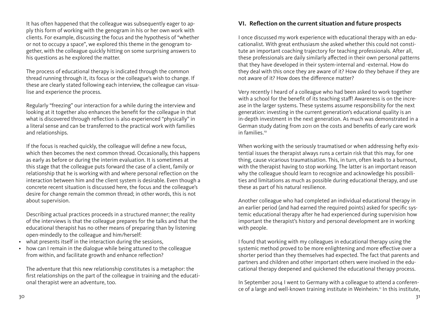<span id="page-16-0"></span>It has often happened that the colleague was subsequently eager to apply this form of working with the genogram in his or her own work with clients. For example, discussing the focus and the hypothesis of "whether or not to occupy a space", we explored this theme in the genogram together, with the colleague quickly hitting on some surprising answers to his questions as he explored the matter.

The process of educational therapy is indicated through the common thread running through it, its focus or the colleague's wish to change. If these are clearly stated following each interview, the colleague can visualise and experience the process.

Regularly "freezing" our interaction for a while during the interview and looking at it together also enhances the benefit for the colleague in that what is discovered through reflection is also experienced "physically" in a literal sense and can be transferred to the practical work with families and relationships.

If the focus is reached quickly, the colleague will define a new focus, which then becomes the next common thread. Occasionally, this happens as early as before or during the interim evaluation. It is sometimes at this stage that the colleague puts forward the case of a client, family or relationship that he is working with and where personal reflection on the interaction between him and the client system is desirable. Even though a concrete recent situation is discussed here, the focus and the colleague's desire for change remain the common thread; in other words, this is not about supervision.

Describing actual practices proceeds in a structured manner; the reality of the interviews is that the colleague prepares for the talks and that the educational therapist has no other means of preparing than by listening open-mindedly to the colleague and him/herself:

- what presents itself in the interaction during the sessions,
- how can I remain in the dialogue while being attuned to the colleague from within, and facilitate growth and enhance reflection?

The adventure that this new relationship constitutes is a metaphor: the first relationships on the part of the colleague in training and the educational therapist were an adventure, too.

### **VI. Reflection on the current situation and future prospects**

I once discussed my work experience with educational therapy with an educationalist. With great enthusiasm she asked whether this could not constitute an important coaching trajectory for teaching professionals. After all, these professionals are daily similarly affected in their own personal patterns that they have developed in their system-internal and -external. How do they deal with this once they are aware of it? How do they behave if they are not aware of it? How does the difference matter?

Very recently I heard of a colleague who had been asked to work together with a school for the benefit of its teaching staff! Awareness is on the increase in the larger systems. These systems assume responsibility for the next generation: investing in the current generation's educational quality is an in-depth investment in the next generation. As much was demonstrated in a German study dating from 2011 on the costs and benefits of early care work in families.<sup>10</sup>

When working with the seriously traumatised or when addressing hefty existential issues the therapist always runs a certain risk that this may, for one thing, cause vicarious traumatisation. This, in turn, often leads to a burnout, with the therapist having to stop working. The latter is an important reason why the colleague should learn to recognize and acknowledge his possibilities and limitations as much as possible during educational therapy, and use these as part of his natural resilience.

Another colleague who had completed an individual educational therapy in an earlier period (and had earned the required points) asked for specific systemic educational therapy after he had experienced during supervision how important the therapist's history and personal development are in working with people.

I found that working with my colleagues in educational therapy using the systemic method proved to be more enlightening and more effective over a shorter period than they themselves had expected. The fact that parents and partners and children and other important others were involved in the educational therapy deepened and quickened the educational therapy process.

In September 2014 I went to Germany with a colleague to attend a conference of a large and well-known training institute in Weinheim.<sup>11</sup> In this institute,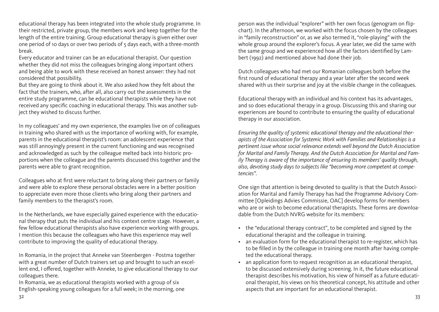educational therapy has been integrated into the whole study programme. In their restricted, private group, the members work and keep together for the length of the entire training. Group educational therapy is given either over one period of 10 days or over two periods of 5 days each, with a three-month break.

Every educator and trainer can be an educational therapist. Our question whether they did not miss the colleagues bringing along important others and being able to work with these received an honest answer: they had not considered that possibility.

But they are going to think about it. We also asked how they felt about the fact that the trainers, who, after all, also carry out the assessments in the entire study programme, can be educational therapists while they have not received any specific coaching in educational therapy. This was another subject they wished to discuss further.

In my colleagues' and my own experience, the examples live on of colleagues in training who shared with us the importance of working with, for example, parents in the educational therapist's room: an adolescent experience that was still annoyingly present in the current functioning and was recognised and acknowledged as such by the colleague melted back into historic proportions when the colleague and the parents discussed this together and the parents were able to grant recognition.

Colleagues who at first were reluctant to bring along their partners or family and were able to explore these personal obstacles were in a better position to appreciate even more those clients who bring along their partners and family members to the therapist's room.

In the Netherlands, we have especially gained experience with the educational therapy that puts the individual and his context centre stage. However, a few fellow educational therapists also have experience working with groups. I mention this because the colleagues who have this experience may well contribute to improving the quality of educational therapy.

In Romania, in the project that Anneke van Steenbergen - Postma together with a great number of Dutch trainers set up and brought to such an excellent end, I offered, together with Anneke, to give educational therapy to our colleagues there.

In Romania, we as educational therapists worked with a group of six English-speaking young colleagues for a full week; in the morning, one person was the individual "explorer" with her own focus (genogram on flipchart). In the afternoon, we worked with the focus chosen by the colleagues in "family reconstruction" or, as we also termed it, "role-playing" with the whole group around the explorer's focus. A year later, we did the same with the same group and we experienced how all the factors identified by Lambert (1992) and mentioned above had done their job.

Dutch colleagues who had met our Romanian colleagues both before the first round of educational therapy and a year later after the second week shared with us their surprise and joy at the visible change in the colleagues.

Educational therapy with an individual and his context has its advantages, and so does educational therapy in a group. Discussing this and sharing our experiences are bound to contribute to ensuring the quality of educational therapy in our association.

*Ensuring the quality of systemic educational therapy and the educational therapists of the Association for Systemic Work with Families and Relationships is a pertinent issue whose social relevance extends well beyond the Dutch Association for Marital and Family Therapy. And the Dutch Association for Marital and Family Therapy is aware of the importance of ensuring its members' quality through, also, devoting study days to subjects like "becoming more competent at competencies".*

One sign that attention is being devoted to quality is that the Dutch Association for Marital and Family Therapy has had the Programme Advisory Committee [Opleidings Advies Commissie, OAC] develop forms for members who are or wish to become educational therapists. These forms are downloadable from the Dutch NVRG website for its members:

- the "educational therapy contract", to be completed and signed by the educational therapist and the colleague in training.
- an evaluation form for the educational therapist to re-register, which has to be filled in by the colleague in training one month after having completed the educational therapy.
- an application form to request recognition as an educational therapist, to be discussed extensively during screening. In it, the future educational therapist describes his motivation, his view of himself as a future educational therapist, his views on his theoretical concept, his attitude and other aspects that are important for an educational therapist.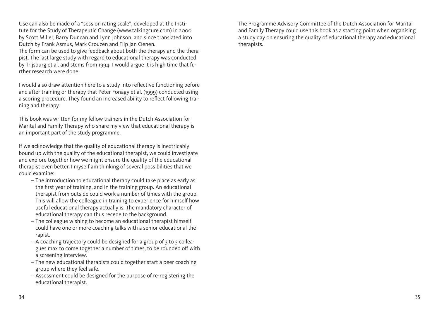Use can also be made of a "session rating scale", developed at the Institute for the Study of Therapeutic Change [\(www.talkingcure.com](http://www.talkingcure.com)) in 2000 by Scott Miller, Barry Duncan and Lynn Johnson, and since translated into Dutch by Frank Asmus, Mark Crouzen and Flip Jan Oenen.

The form can be used to give feedback about both the therapy and the therapist. The last large study with regard to educational therapy was conducted by Trijsburg et al. and stems from 1994. I would argue it is high time that further research were done.

I would also draw attention here to a study into reflective functioning before and after training or therapy that Peter Fonagy et al. (1999) conducted using a scoring procedure. They found an increased ability to reflect following training and therapy.

This book was written for my fellow trainers in the Dutch Association for Marital and Family Therapy who share my view that educational therapy is an important part of the study programme.

If we acknowledge that the quality of educational therapy is inextricably bound up with the quality of the educational therapist, we could investigate and explore together how we might ensure the quality of the educational therapist even better. I myself am thinking of several possibilities that we could examine:

- The introduction to educational therapy could take place as early as the first year of training, and in the training group. An educational therapist from outside could work a number of times with the group. This will allow the colleague in training to experience for himself how useful educational therapy actually is. The mandatory character of educational therapy can thus recede to the background.
- The colleague wishing to become an educational therapist himself could have one or more coaching talks with a senior educational therapist.
- $-$  A coaching trajectory could be designed for a group of  $3$  to  $5$  colleagues max to come together a number of times, to be rounded off with a screening interview.
- The new educational therapists could together start a peer coaching group where they feel safe.
- Assessment could be designed for the purpose of re-registering the educational therapist.

The Programme Advisory Committee of the Dutch Association for Marital and Family Therapy could use this book as a starting point when organising a study day on ensuring the quality of educational therapy and educational therapists.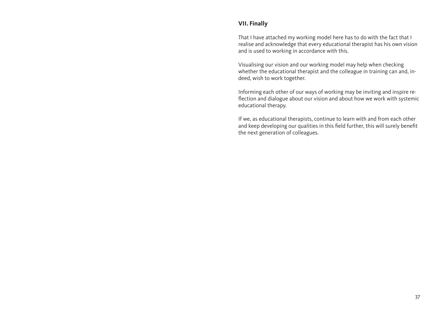## <span id="page-19-0"></span>**VII. Finally**

That I have attached my working model here has to do with the fact that I realise and acknowledge that every educational therapist has his own vision and is used to working in accordance with this.

Visualising our vision and our working model may help when checking whether the educational therapist and the colleague in training can and, indeed, wish to work together.

Informing each other of our ways of working may be inviting and inspire reflection and dialogue about our vision and about how we work with systemic educational therapy.

If we, as educational therapists, continue to learn with and from each other and keep developing our qualities in this field further, this will surely benefit the next generation of colleagues.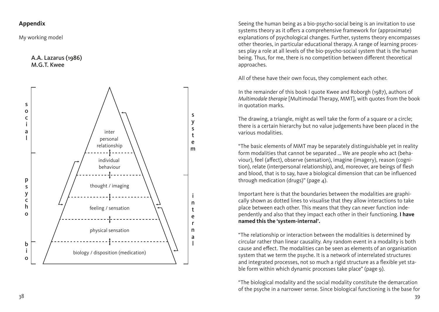## <span id="page-20-0"></span>**Appendix**

My working model

#### A.A. Lazarus (1986) M.G.T. Kwee



Seeing the human being as a bio-psycho-social being is an invitation to use systems theory as it offers a comprehensive framework for (approximate) explanations of psychological changes. Further, systems theory encompasses other theories, in particular educational therapy. A range of learning proces ses play a role at all levels of the bio-psycho-social system that is the human being. Thus, for me, there is no competition between different theoretical approaches.

All of these have their own focus, they complement each other.

In the remainder of this book I quote Kwee and Roborgh (1987), authors of *Multimodale therapie* [Multimodal Therapy, MMT], with quotes from the book in quotation marks.

The drawing, a triangle, might as well take the form of a square or a circle; there is a certain hierarchy but no value judgements have been placed in the various modalities.

"The basic elements of MMT may be separately distinguishable yet in reality form modalities that cannot be separated ... We are people who act (beha viour), feel (affect), observe (sensation), imagine (imagery), reason (cogni tion), relate (interpersonal relationship), and, moreover, are beings of flesh and blood, that is to say, have a biological dimension that can be influenced through medication (drugs)" (page  $\Delta$ ).

Important here is that the boundaries between the modalities are graphi cally shown as dotted lines to visualise that they allow interactions to take place between each other. This means that they can never function inde pendently and also that they impact each other in their functioning. **I have named this the 'system-internal'.**

"The relationship or interaction between the modalities is determined by circular rather than linear causality. Any random event in a modality is both cause and effect. The modalities can be seen as elements of an organisation system that we term the psyche. It is a network of interrelated structures and integrated processes, not so much a rigid structure as a flexible yet sta ble form within which dynamic processes take place" (page 9).

"The biological modality and the social modality constitute the demarcation of the psyche in a narrower sense. Since biological functioning is the base for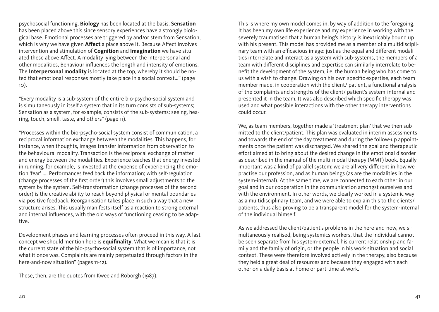psychosocial functioning, **Biology** has been located at the basis. **Sensation** has been placed above this since sensory experiences have a strongly biological base. Emotional processes are triggered by and/or stem from Sensation, which is why we have given **Affect** a place above it. Because Affect involves intervention and stimulation of **Cognition** and **Imagination** we have situated these above Affect. A modality lying between the interpersonal and other modalities, Behaviour influences the length and intensity of emotions. The **Interpersonal modality** is located at the top, whereby it should be noted that emotional responses mostly take place in a social context..." (page 10).

"Every modality is a sub-system of the entire bio-psycho-social system and is simultaneously in itself a system that in its turn consists of sub-systems; Sensation as a system, for example, consists of the sub-systems: seeing, hearing, touch, smell, taste, and others" (page 11).

"Processes within the bio-psycho-social system consist of communication, a reciprocal information exchange between the modalities. This happens, for instance, when thoughts, images transfer information from observation to the behavioural modality. Transaction is the reciprocal exchange of matter and energy between the modalities. Experience teaches that energy invested in running, for example, is invested at the expense of experiencing the emotion 'fear' .... Performances feed back the information; with self-regulation (change processes of the first order) this involves small adjustments to the system by the system. Self-transformation (change processes of the second order) is the creative ability to reach beyond physical or mental boundaries via positive feedback. Reorganisation takes place in such a way that a new structure arises. This usually manifests itself as a reaction to strong external and internal influences, with the old ways of functioning ceasing to be adaptive.

Development phases and learning processes often proceed in this way. A last concept we should mention here is **equifinality**. What we mean is that it is the current state of the bio-psycho-social system that is of importance, not what it once was. Complaints are mainly perpetuated through factors in the here-and-now situation" (pages 11-12).

These, then, are the quotes from Kwee and Roborgh (1987).

This is where my own model comes in, by way of addition to the foregoing. It has been my own life experience and my experience in working with the severely traumatised that a human being's history is inextricably bound up with his present. This model has provided me as a member of a multidisciplinary team with an efficacious image: just as the equal and different modalities interrelate and interact as a system with sub-systems, the members of a team with different disciplines and expertise can similarly interrelate to benefit the development of the system, i.e. the human being who has come to us with a wish to change. Drawing on his own specific expertise, each team member made, in cooperation with the client/ patient, a functional analysis of the complaints and strengths of the client/ patient's system-internal and presented it in the team. It was also described which specific therapy was used and what possible interactions with the other therapy interventions could occur.

We, as team members, together made a 'treatment plan' that we then submitted to the client/patient. This plan was evaluated in interim assessments and towards the end of the day treatment and during the follow-up appointments once the patient was discharged. We shared the goal and therapeutic effort aimed at to bring about the desired change in the emotional disorder as described in the manual of the multi-modal therapy (MMT) book. Equally important was a kind of parallel system: we are all very different in how we practise our profession, and as human beings (as are the modalities in the system-internal). At the same time, we are connected to each other in our goal and in our cooperation in the communication amongst ourselves and with the environment. In other words, we clearly worked in a systemic way as a multidisciplinary team, and we were able to explain this to the clients/ patients, thus also proving to be a transparent model for the system-internal of the individual himself.

As we addressed the client/patient's problems in the here-and-now, we simultaneously realised, being systemics workers, that the individual cannot be seen separate from his system-external, his current relationship and family and the family of origin, or the people in his work situation and social context. These were therefore involved actively in the therapy, also because they held a great deal of resources and because they engaged with each other on a daily basis at home or part-time at work.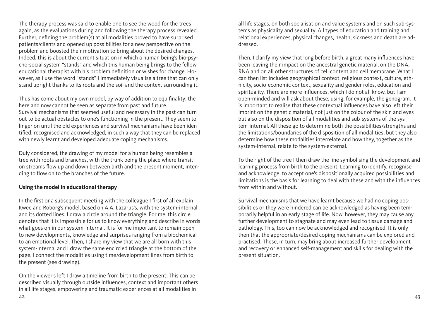The therapy process was said to enable one to see the wood for the trees again, as the evaluations during and following the therapy process revealed. Further, defining the problem(s) at all modalities proved to have surprised patients/clients and opened up possibilities for a new perspective on the problem and boosted their motivation to bring about the desired changes. Indeed, this is about the current situation in which a human being's bio-psycho-social system "stands" and which this human being brings to the fellow educational therapist with his problem definition or wishes for change. However, as I use the word "stands" I immediately visualise a tree that can only stand upright thanks to its roots and the soil and the context surrounding it.

Thus has come about my own model, by way of addition to equifinality: the here and now cannot be seen as separate from past and future. Survival mechanisms that seemed useful and necessary in the past can turn out to be actual obstacles to one's functioning in the present. They seem to linger on until the old experiences and survival mechanisms have been identified, recognised and acknowledged, in such a way that they can be replaced with newly learnt and developed adequate coping mechanisms.

Duly considered, the drawing of my model for a human being resembles a tree with roots and branches, with the trunk being the place where transition streams flow up and down between birth and the present moment, intending to flow on to the branches of the future.

#### **Using the model in educational therapy**

In the first or a subsequent meeting with the colleague I first of all explain Kwee and Roborg's model, based on A.A. Lazarus's, with the system-internal and its dotted lines. I draw a circle around the triangle. For me, this circle denotes that it is impossible for us to know everything and describe in words what goes on in our system-internal. It is for me important to remain open to new developments, knowledge and surprises ranging from a biochemical to an emotional level. Then, I share my view that we are all born with this system-internal and I draw the same encircled triangle at the bottom of the page. I connect the modalities using time/development lines from birth to the present (see drawing).

On the viewer's left I draw a timeline from birth to the present. This can be described visually through outside influences, context and important others in all life stages, empowering and traumatic experiences at all modalities in

all life stages, on both socialisation and value systems and on such sub-systems as physicality and sexuality. All types of education and training and relational experiences, physical changes, health, sickness and death are addressed.

Then, I clarify my view that long before birth, a great many influences have been leaving their impact on the ancestral genetic material, on the DNA, RNA and on all other structures of cell content and cell membrane. What I can then list includes geographical context, religious context, culture, ethnicity, socio-economic context, sexuality and gender roles, education and spirituality. There are more influences, which I do not all know, but I am open-minded and will ask about these, using, for example, the genogram. It is important to realise that these contextual influences have also left their imprint on the genetic material, not just on the colour of the skin and eyes but also on the disposition of all modalities and sub-systems of the system-internal. All these go to determine both the possibilities/strengths and the limitations/boundaries of the disposition of all modalities; but they also determine how these modalities interrelate and how they, together as the system-internal, relate to the system-external.

To the right of the tree I then draw the line symbolising the development and learning process from birth to the present. Learning to identify, recognise and acknowledge, to accept one's dispositionally acquired possibilities and limitations is the basis for learning to deal with these and with the influences from within and without.

Survival mechanisms that we have learnt because we had no coping possibilities or they were hindered can be acknowledged as having been temporarily helpful in an early stage of life. Now, however, they may cause any further development to stagnate and may even lead to tissue damage and pathology. This, too can now be acknowledged and recognised. It is only then that the appropriate/desired coping mechanisms can be explored and practised. These, in turn, may bring about increased further development and recovery or enhanced self-management and skills for dealing with the present situation.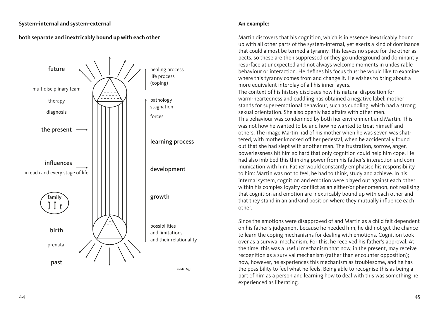### **System-internal and system-external**

## **both separate and inextricably bound up with each other**



#### **An example:**

Martin discovers that his cognition, which is in essence inextricably bound up with all other parts of the system-internal, yet exerts a kind of dominance that could almost be termed a tyranny. This leaves no space for the other aspects, so these are then suppressed or they go underground and dominantly resurface at unexpected and not always welcome moments in undesirable behaviour or interaction. He defines his focus thus: he would like to examine where this tyranny comes from and change it. He wishes to bring about a more equivalent interplay of all his inner layers.

The context of his history discloses how his natural disposition for warm-heartedness and cuddling has obtained a negative label: mother stands for super-emotional behaviour, such as cuddling, which had a strong sexual orientation. She also openly had affairs with other men. This behaviour was condemned by both her environment and Martin. This was not how he wanted to be and how he wanted to treat himself and others. The image Martin had of his mother when he was seven was shattered, with mother knocked off her pedestal, when he accidentally found out that she had slept with another man. The frustration, sorrow, anger, powerlessness hit him so hard that only cognition could help him cope. He had also imbibed this thinking power from his father's interaction and communication with him. Father would constantly emphasise his responsibility to him: Martin was not to feel, he had to think, study and achieve. In his internal system, cognition and emotion were played out against each other within his complex loyalty conflict as an either/or phenomenon, not realising that cognition and emotion are inextricably bound up with each other and that they stand in an and/and position where they mutually influence each other.

Since the emotions were disapproved of and Martin as a child felt dependent on his father's judgement because he needed him, he did not get the chance to learn the coping mechanisms for dealing with emotions. Cognition took over as a survival mechanism. For this, he received his father's approval. At the time, this was a useful mechanism that now, in the present, may receive recognition as a survival mechanism (rather than encounter opposition); now, however, he experiences this mechanism as troublesome, and he has the possibility to feel what he feels. Being able to recognise this as being a part of him as a person and learning how to deal with this was something he experienced as liberating.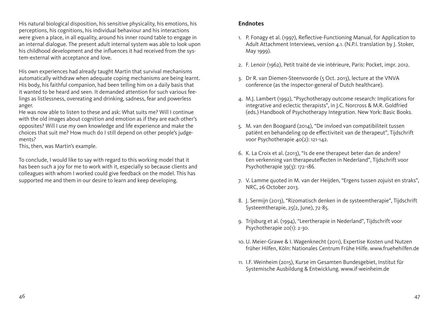<span id="page-24-0"></span>His natural biological disposition, his sensitive physicality, his emotions, his perceptions, his cognitions, his individual behaviour and his interactions were given a place, in all equality, around his inner round table to engage in an internal dialogue. The present adult internal system was able to look upon his childhood development and the influences it had received from the system-external with acceptance and love.

His own experiences had already taught Martin that survival mechanisms automatically withdraw when adequate coping mechanisms are being learnt. His body, his faithful companion, had been telling him on a daily basis that it wanted to be heard and seen. It demanded attention for such various feelings as listlessness, overeating and drinking, sadness, fear and powerless anger.

He was now able to listen to these and ask: What suits me? Will I continue with the old images about cognition and emotion as if they are each other's opposites? Will I use my own knowledge and life experience and make the choices that suit me? How much do I still depend on other people's judgements?

This, then, was Martin's example.

To conclude, I would like to say with regard to this working model that it has been such a joy for me to work with it, especially so because clients and colleagues with whom I worked could give feedback on the model. This has supported me and them in our desire to learn and keep developing.

## **Endnotes**

- 1. P. Fonagy et al. (1997), Reflective-Functioning Manual, for Application to Adult Attachment Interviews, version 4.1. (N.P.I. translation by I. Stoker, May 1999).
- 2. F. Lenoir (1962), Petit traité de vie intérieure, Paris: Pocket, impr. 2012.
- 3. Dr R. van Diemen-Steenvoorde (5 Oct. 2013), lecture at the VNVA conference (as the inspector-general of Dutch healthcare).
- 4. M.J. Lambert (1992), "Psychotherapy outcome research: Implications for integrative and eclectic therapists", in J.C. Norcross & M.R. Goldfried (eds.) Handbook of Psychotherapy Integration. New York: Basic Books.
- 5. M. van den Boogaard (2014), "De invloed van compatibiliteit tussen patiënt en behandeling op de effectiviteit van de therapeut", Tijdschrift voor Psychotherapie 40(2): 121-142.
- 6. K. La Croix et al. (2013), "Is de ene therapeut beter dan de andere? Een verkenning van therapeuteffecten in Nederland", Tijdschrift voor Psychotherapie 39(3): 172-186.
- 7. V. Lamme quoted in M. van der Heijden, "Ergens tussen zojuist en straks", NRC, 26 October 2013.
- 8. J. Sermijn (2013), "Rizomatisch denken in de systeemtherapie", Tijdschrift Systeemtherapie, 25(2, June), 72-85.
- 9. Trijsburg et al. (1994), "Leertherapie in Nederland", Tijdschrift voor Psychotherapie 20(1): 2-30.
- 10. U. Meier-Grawe & I. Wagenknecht (2011), Expertise Kosten und Nutzen früher Hilfen, Köln: Nationales Centrum Frühe Hilfe. www.fruehehilfen.de
- 11. I.F. Weinheim (2015), Kurse im Gesamten Bundesgebiet, Institut für Systemische Ausbildung & Entwicklung. www.if-weinheim.de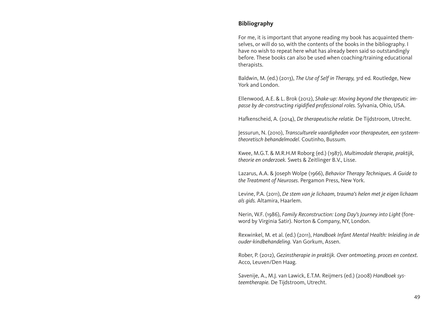## <span id="page-25-0"></span>**Bibliography**

For me, it is important that anyone reading my book has acquainted themselves, or will do so, with the contents of the books in the bibliography. I have no wish to repeat here what has already been said so outstandingly before. These books can also be used when coaching/training educational therapists.

Baldwin, M. (ed.) (2013), *The Use of Self in Therapy,* 3rd ed*.* Routledge, New York and London.

Ellenwood, A.E. & L. Brok (2012), *Shake-up: Moving beyond the therapeutic impasse by de-constructing rigidified professional roles.* Sylvania, Ohio, USA.

Hafkenscheid, A. (2014), *De therapeutische relatie.* De Tijdstroom, Utrecht.

Jessurun, N. (2010), *Transculturele vaardigheden voor therapeuten, een systeemtheoretisch behandelmodel*. Coutinho, Bussum.

Kwee, M.G.T. & M.R.H.M Roborg (ed.) (1987), *Multimodale therapie, praktijk, theorie en onderzoek.* Swets & Zeitlinger B.V., Lisse.

Lazarus, A.A. & Joseph Wolpe (1966), *Behavior Therapy Technique*s*. A Guide to the Treatment of Neuroses*. Pergamon Press, New York.

Levine, P.A. (2011), *De stem van je lichaam, trauma's helen met je eigen lichaam als gids.* Altamira, Haarlem.

Nerin, W.F. (1986), *Family Reconstruction: Long Day's Journey into Light* (foreword by Virginia Satir). Norton & Company, NY, London.

Rexwinkel, M. et al. (ed.) (2011), *Handboek Infant Mental Health: Inleiding in de ouder-kindbehandeling.* Van Gorkum, Assen.

Rober, P. (2012), *Gezinstherapie in praktijk. Over ontmoeting, proces en context.* Acco, Leuven/Den Haag.

Savenije, A., M.J. van Lawick, E.T.M. Reijmers (ed.) (2008) *Handboek systeemtherapie.* De Tijdstroom, Utrecht.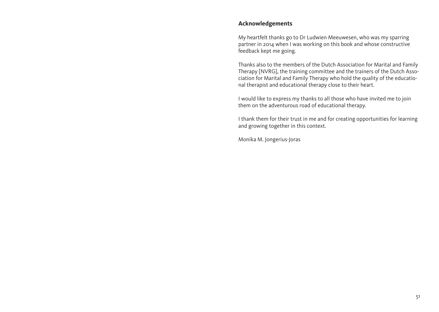## <span id="page-26-0"></span>**Acknowledgements**

My heartfelt thanks go to Dr Ludwien Meeuwesen, who was my sparring partner in 2014 when I was working on this book and whose constructive feedback kept me going.

Thanks also to the members of the Dutch Association for Marital and Family Therapy [NVRG], the training committee and the trainers of the Dutch Association for Marital and Family Therapy who hold the quality of the educational therapist and educational therapy close to their heart.

I would like to express my thanks to all those who have invited me to join them on the adventurous road of educational therapy.

I thank them for their trust in me and for creating opportunities for learning and growing together in this context.

Monika M. Jongerius-Joras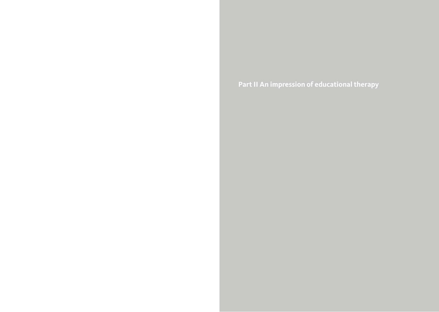<span id="page-27-0"></span>**Part II An impression of educational therapy**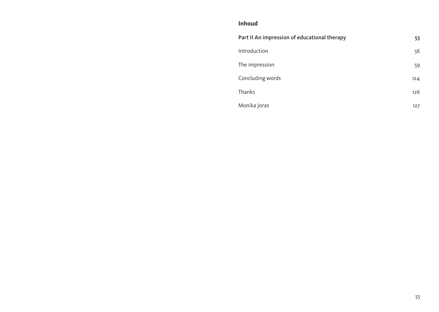## **Inhoud**

| Part II An impression of educational therapy | 53  |
|----------------------------------------------|-----|
| Introduction                                 | 56  |
| The impression                               | 59  |
| Concluding words                             | 124 |
| Thanks                                       | 126 |
| Monika Joras                                 | 127 |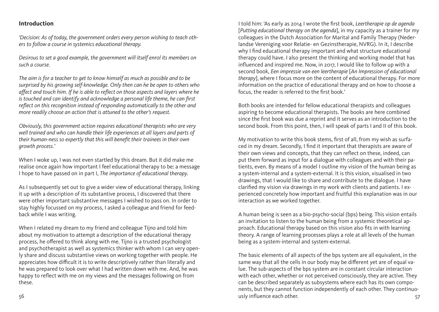### <span id="page-29-0"></span>**Introduction**

*'Decision: As of today, the government orders every person wishing to teach others to follow a course in systemics educational therapy.* 

*Desirous to set a good example, the government will itself enrol its members on such a course.* 

*The aim is for a teacher to get to know himself as much as possible and to be surprised by his growing self-knowledge. Only then can he be open to others who affect and touch him. If he is able to reflect on those aspects and layers where he is touched and can identify and acknowledge a personal life theme, he can first reflect on this recognition instead of responding automatically to the other and more readily choose an action that is attuned to the other's request.*

*Obviously, this government action requires educational therapists who are very well trained and who can handle their life experiences at all layers and parts of their human-ness so expertly that this will benefit their trainees in their own growth process.'*

When I woke up, I was not even startled by this dream. But it did make me realise once again how important I feel educational therapy to be: a message I hope to have passed on in part I, *The importance of educational therapy*.

As I subsequently set out to give a wider view of educational therapy, linking it up with a description of its substantive process, I discovered that there were other important substantive messages I wished to pass on. In order to stay highly focussed on my process, I asked a colleague and friend for feedback while I was writing.

When I related my dream to my friend and colleague Tijno and told him about my motivation to attempt a description of the educational therapy process, he offered to think along with me. Tijno is a trusted psychologist and psychotherapist as well as systemics thinker with whom I can very openly share and discuss substantive views on working together with people. He appreciates how difficult it is to write descriptively rather than literally and he was prepared to look over what I had written down with me. And, he was happy to reflect with me on my views and the messages following on from these.

I told him: 'As early as 2014 I wrote the first book, *Leertherapie op de agenda* [*Putting educational therapy on the agenda*], in my capacity as a trainer for my colleagues in the Dutch Association for Marital and Family Therapy (Nederlandse Vereniging voor Relatie- en Gezinstherapie, NVRG). In it, I describe why I find educational therapy important and what structure educational therapy could have. I also present the thinking and working model that has influenced and inspired me. Now, in 2017, I would like to follow up with a second book, *Een impressie van een leertherapie* [*An Impression of educational therapy*], where I focus more on the content of educational therapy. For more information on the practice of educational therapy and on how to choose a focus, the reader is referred to the first book.'

Both books are intended for fellow educational therapists and colleagues aspiring to become educational therapists. The books are here combined since the first book was due a reprint and it serves as an introduction to the second book. From this point, then, I will speak of parts I and II of this book.

My motivation to write this book stems, first of all, from my wish as surfaced in my dream. Secondly, I find it important that therapists are aware of their own views and concepts, that they can reflect on these, indeed, can put them forward as input for a dialogue with colleagues and with their patients, even. By means of a model I outline my vision of the human being as a system-internal and a system-external. It is this vision, visualised in two drawings, that I would like to share and contribute to the dialogue. I have clarified my vision via drawings in my work with clients and patients. I experienced concretely how important and fruitful this explanation was in our interaction as we worked together.

A human being is seen as a bio-psycho-social (bps) being. This vision entails an invitation to listen to the human being from a systemic theoretical approach. Educational therapy based on this vision also fits in with learning theory. A range of learning processes plays a role at all levels of the human being as a system-internal and system-external.

56 57 usly influence each other. The basic elements of all aspects of the bps system are all equivalent, in the same way that all the cells in our body may be different yet are of equal value. The sub-aspects of the bps system are in constant circular interaction with each other, whether or not perceived consciously, they are active. They can be described separately as subsystems where each has its own components, but they cannot function independently of each other. They continuo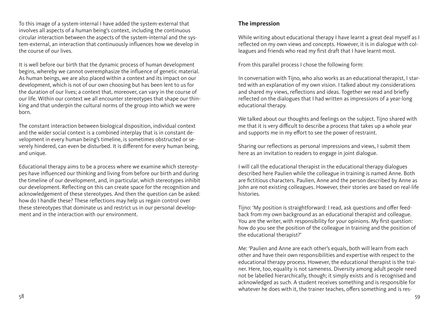<span id="page-30-0"></span>To this image of a system-internal I have added the system-external that involves all aspects of a human being's context, including the continuous circular interaction between the aspects of the system-internal and the system-external, an interaction that continuously influences how we develop in the course of our lives.

It is well before our birth that the dynamic process of human development begins, whereby we cannot overemphasize the influence of genetic material. As human beings, we are also placed within a context and its impact on our development, which is not of our own choosing but has been lent to us for the duration of our lives; a context that, moreover, can vary in the course of our life. Within our context we all encounter stereotypes that shape our thinking and that underpin the cultural norms of the group into which we were born.

The constant interaction between biological disposition, individual context and the wider social context is a combined interplay that is in constant development in every human being's timeline, is sometimes obstructed or severely hindered, can even be disturbed. It is different for every human being, and unique.

Educational therapy aims to be a process where we examine which stereotypes have influenced our thinking and living from before our birth and during the timeline of our development, and, in particular, which stereotypes inhibit our development. Reflecting on this can create space for the recognition and acknowledgement of these stereotypes. And then the question can be asked: how do I handle these? These reflections may help us regain control over these stereotypes that dominate us and restrict us in our personal development and in the interaction with our environment.

## **The impression**

While writing about educational therapy I have learnt a great deal myself as I reflected on my own views and concepts. However, it is in dialogue with colleagues and friends who read my first draft that I have learnt most.

From this parallel process I chose the following form:

In conversation with Tijno, who also works as an educational therapist, I started with an explanation of my own vision. I talked about my considerations and shared my views, reflections and ideas. Together we read and briefly reflected on the dialogues that I had written as impressions of a year-long educational therapy.

We talked about our thoughts and feelings on the subject. Tijno shared with me that it is very difficult to describe a process that takes up a whole year and supports me in my effort to see the power of restraint.

Sharing our reflections as personal impressions and views, I submit them here as an invitation to readers to engage in joint dialogue.

I will call the educational therapist in the educational therapy dialogues described here Paulien while the colleague in training is named Anne. Both are fictitious characters. Paulien, Anne and the person described by Anne as John are not existing colleagues. However, their stories are based on real-life histories.

Tijno: 'My position is straightforward: I read, ask questions and offer feedback from my own background as an educational therapist and colleague. You are the writer, with responsibility for your opinions. My first question: how do you see the position of the colleague in training and the position of the educational therapist?'

Me: 'Paulien and Anne are each other's equals, both will learn from each other and have their own responsibilities and expertise with respect to the educational therapy process. However, the educational therapist is the trainer. Here, too, equality is not sameness. Diversity among adult people need not be labelled hierarchically, though; it simply exists and is recognised and acknowledged as such. A student receives something and is responsible for whatever he does with it, the trainer teaches, offers something and is res-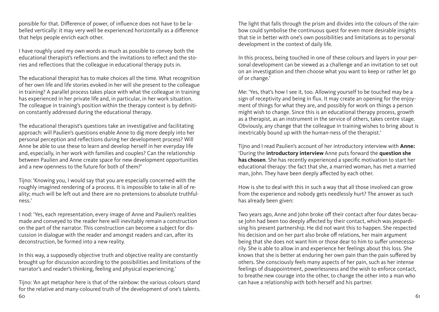ponsible for that. Difference of power, of influence does not have to be labelled vertically: it may very well be experienced horizontally as a difference that helps people enrich each other.

I have roughly used my own words as much as possible to convey both the educational therapist's reflections and the invitations to reflect and the stories and reflections that the colleague in educational therapy puts in.

The educational therapist has to make choices all the time. What recognition of her own life and life stories evoked in her will she present to the colleague in training? A parallel process takes place with what the colleague in training has experienced in her private life and, in particular, in her work situation. The colleague in training's position within the therapy context is by definition constantly addressed during the educational therapy.

The educational therapist's questions take an investigative and facilitating approach: will Paulien's questions enable Anne to dig more deeply into her personal perception and reflections during her development process? Will Anne be able to use these to learn and develop herself in her everyday life and, especially, in her work with families and couples? Can the relationship between Paulien and Anne create space for new development opportunities and a new openness to the future for both of them?'

Tijno: 'Knowing you, I would say that you are especially concerned with the roughly imagined rendering of a process. It is impossible to take in all of reality; much will be left out and there are no pretensions to absolute truthfulness.'

I nod: 'Yes, each representation, every image of Anne and Paulien's realities made and conveyed to the reader here will inevitably remain a construction on the part of the narrator. This construction can become a subject for discussion in dialogue with the reader and amongst readers and can, after its deconstruction, be formed into a new reality.

In this way, a supposedly objective truth and objective reality are constantly brought up for discussion according to the possibilities and limitations of the narrator's and reader's thinking, feeling and physical experiencing.'

60 61 Tijno: 'An apt metaphor here is that of the rainbow: the various colours stand for the relative and many-coloured truth of the development of one's talents.

The light that falls through the prism and divides into the colours of the rainbow could symbolise the continuous quest for even more desirable insights that tie in better with one's own possibilities and limitations as to personal development in the context of daily life.

In this process, being touched in one of these colours and layers in your personal development can be viewed as a challenge and an invitation to set out on an investigation and then choose what you want to keep or rather let go of or change.'

Me: 'Yes, that's how I see it, too. Allowing yourself to be touched may be a sign of receptivity and being in flux. It may create an opening for the enjoyment of things for what they are, and possibly for work on things a person might wish to change. Since this is an educational therapy process, growth as a therapist, as an instrument in the service of others, takes centre stage. Obviously, any change that the colleague in training wishes to bring about is inextricably bound up with the human-ness of the therapist.'

Tijno and I read Paulien's account of her introductory interview with **Anne:**  'During the **introductory interview** Anne puts forward the **question she has chosen**. She has recently experienced a specific motivation to start her educational therapy: the fact that she, a married woman, has met a married man, John. They have been deeply affected by each other.

How is she to deal with this in such a way that all those involved can grow from the experience and nobody gets needlessly hurt? The answer as such has already been given:

Two years ago, Anne and John broke off their contact after four dates because John had been too deeply affected by their contact, which was jeopardising his present partnership. He did not want this to happen. She respected his decision and on her part also broke off relations, her main argument being that she does not want him or those dear to him to suffer unnecessarily. She is able to allow in and experience her feelings about this loss. She knows that she is better at enduring her own pain than the pain suffered by others. She consciously feels many aspects of her pain, such as her intense feelings of disappointment, powerlessness and the wish to enforce contact, to breathe new courage into the other, to change the other into a man who can have a relationship with both herself and his partner.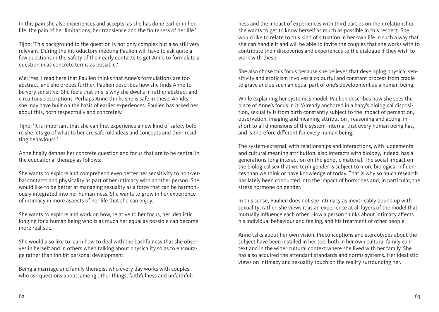In this pain she also experiences and accepts, as she has done earlier in her life, the pain of her limitations, her transience and the finiteness of her life.'

Tijno: 'This background to the question is not only complex but also still very relevant. During the introductory meeting Paulien will have to ask quite a few questions in the safety of their early contacts to get Anne to formulate a question in as concrete terms as possible.'

Me: 'Yes, I read here that Paulien thinks that Anne's formulations are too abstract, and she probes further. Paulien describes how she finds Anne to be very sensitive. She feels that this is why she dwells in rather abstract and circuitous descriptions. Perhaps Anne thinks she is safe in these. An idea she may have built on the basis of earlier experiences. Paulien has asked her about this, both respectfully and concretely.'

Tijno: 'It is important that she can first experience a new kind of safety before she lets go of what to her are safe, old ideas and concepts and their resulting behaviours.'

Anne finally defines her concrete question and focus that are to be central in the educational therapy as follows:

She wants to explore and comprehend even better her sensitivity to non-verbal contacts and physicality as part of her intimacy with another person. She would like to be better at managing sexuality as a force that can be harmoniously integrated into her human-ness. She wants to grow in her experience of intimacy in more aspects of her life that she can enjoy.

She wants to explore and work on how, relative to her focus, her idealistic longing for a human being who is as much her equal as possible can become more realistic.

She would also like to learn how to deal with the bashfulness that she observes in herself and in others when talking about physicality so as to encourage rather than inhibit personal development.

Being a marriage and family therapist who every day works with couples who ask questions about, among other things, faithfulness and unfaithfulness and the impact of experiences with third parties on their relationship, she wants to get to know herself as much as possible in this respect. She would like to relate to this kind of situation in her own life in such a way that she can handle it and will be able to invite the couples that she works with to contribute their discoveries and experiences to the dialogue if they wish to work with these.

She also chose this focus because she believes that developing physical sensitivity and eroticism involves a colourful and constant process from cradle to grave and as such an equal part of one's development as a human being.

While explaining her systemics model, Paulien describes how she sees the place of Anne's focus in it: 'Already anchored in a baby's biological disposition, sexuality is from birth constantly subject to the impact of perception, observation, imaging and meaning attribution¸ reasoning and acting, in short to all dimensions of the system-internal that every human being has, and is therefore different for every human being.'

The system-external, with relationships and interactions, with judgements and cultural meaning attribution, also interacts with biology, indeed, has a generations-long interaction on the genetic material. The social impact on the biological sex that we term gender is subject to more biological influences than we think or have knowledge of today. That is why so much research has lately been conducted into the impact of hormones and, in particular, the stress hormone on gender.

In this sense, Paulien does not see intimacy as inextricably bound up with sexuality; rather, she views it as an experience at all layers of the model that mutually influence each other. How a person thinks about intimacy affects his individual behaviour and feeling, and his treatment of other people.

Anne talks about her own vision. Preconceptions and stereotypes about the subject have been instilled in her too, both in her own cultural family context and in the wider cultural context where she lived with her family. She has also acquired the attendant standards and norms systems. Her idealistic views on intimacy and sexuality touch on the reality surrounding her.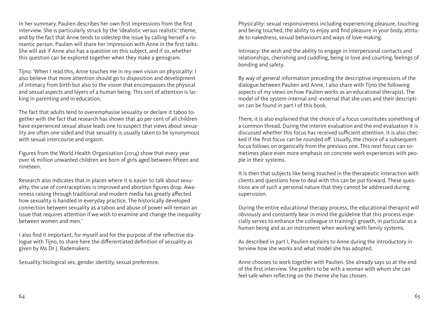In her summary, Paulien describes her own first impressions from the first interview. She is particularly struck by the 'idealistic versus realistic' theme, and by the fact that Anne tends to sidestep the issue by calling herself a romantic person. Paulien will share her impression with Anne in the first talks. She will ask if Anne also has a question on this subject, and if so, whether this question can be explored together when they make a genogram.

Tijno: 'When I read this, Anne touches me in my own vision on physicality: I also believe that more attention should go to disposition and development of intimacy from birth but also to the vision that encompasses the physical and sexual aspects and layers of a human being. This sort of attention is lacking in parenting and in education.

The fact that adults tend to overemphasise sexuality or declare it taboo together with the fact that research has shown that  $40$  per cent of all children have experienced sexual abuse leads one to suspect that views about sexuality are often one-sided and that sexuality is usually taken to be synonymous with sexual intercourse and orgasm.

Figures from the World Health Organisation (2014) show that every year over 16 million unwanted children are born of girls aged between fifteen and nineteen.

Research also indicates that in places where it is easier to talk about sexuality, the use of contraceptives is improved and abortion figures drop. Awareness raising through traditional and modern media has greatly affected how sexuality is handled in everyday practice. The historically developed connection between sexuality as a taboo and abuse of power will remain an issue that requires attention if we wish to examine and change the inequality between women and men.'

I also find it important, for myself and for the purpose of the reflective dialogue with Tijno, to share here the differentiated definition of sexuality as given by Ms Dr J. Rademakers:

Sexuality: biological sex, gender identity, sexual preference.

Physicality: sexual responsiveness including experiencing pleasure, touching and being touched, the ability to enjoy and find pleasure in your body, attitude to nakedness, sexual behaviours and ways of love-making.

Intimacy: the wish and the ability to engage in interpersonal contacts and relationships, cherishing and cuddling, being in love and courting, feelings of bonding and safety.

By way of general information preceding the descriptive impressions of the dialogue between Paulien and Anne, I also share with Tijno the following aspects of my views on how Paulien works as an educational therapist. The model of the system-internal and -external that she uses and their description can be found in part I of this book.

There, it is also explained that the choice of a focus constitutes something of a common thread. During the interim evaluation and the end evaluation it is discussed whether this focus has received sufficient attention. It is also checked if the first focus can be rounded off. Usually, the choice of a subsequent focus follows on organically from the previous one. This next focus can sometimes place even more emphasis on concrete work experiences with people in their systems.

It is then that subjects like being touched in the therapeutic interaction with clients and questions how to deal with this can be put forward. These questions are of such a personal nature that they cannot be addressed during supervision.

During the entire educational therapy process, the educational therapist will obviously and constantly bear in mind the guideline that this process especially serves to enhance the colleague in training's growth, in particular as a human being and as an instrument when working with family systems.

As described in part I, Paulien explains to Anne during the introductory interview how she works and what model she has adopted.

Anne chooses to work together with Paulien. She already says so at the end of the first interview. She prefers to be with a woman with whom she can feel safe when reflecting on the theme she has chosen.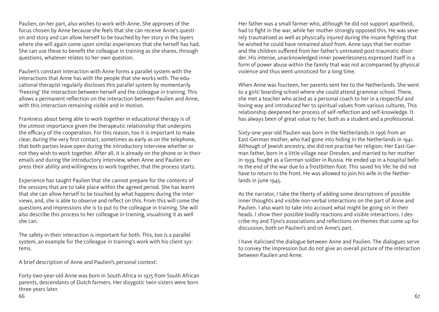Paulien, on her part, also wishes to work with Anne. She approves of the focus chosen by Anne because she feels that she can receive Anne's question and story and can allow herself to be touched by her story in the layers where she will again come upon similar experiences that she herself has had. She can use these to benefit the colleague in training as she shares, through questions, whatever relates to her own question.

Paulien's constant interaction with Anne forms a parallel system with the interactions that Anne has with the people that she works with. The educational therapist regularly discloses this parallel system by momentarily 'freezing' the interaction between herself and the colleague in training. This allows a permanent reflection on the interaction between Paulien and Anne, with this interaction remaining visible and in motion.

Frankness about being able to work together in educational therapy is of the utmost importance given the therapeutic relationship that underpins the efficacy of the cooperation. For this reason, too it is important to make clear, during the very first contact, sometimes as early as on the telephone, that both parties leave open during the introductory interview whether or not they wish to work together. After all, it is already on the phone or in their emails and during the introductory interview, when Anne and Paulien express their ability and willingness to work together, that the process starts.

Experience has taught Paulien that she cannot prepare for the contents of the sessions that are to take place within the agreed period. She has learnt that she can allow herself to be touched by what happens during the interviews, and, she is able to observe and reflect on this. From this will come the questions and impressions she is to put to the colleague in training. She will also describe this process to her colleague in training, visualising it as well she can.

The safety in their interaction is important for both. This, too is a parallel system, an example for the colleague in training's work with his client systems.

A brief description of Anne and Paulien's personal context:

Forty-two-year-old Anne was born in South Africa in 1975 from South African parents, descendants of Dutch farmers. Her dizygotic twin sisters were born three years later.

Her father was a small farmer who, although he did not support apartheid, had to fight in the war, while her mother strongly opposed this. He was severely traumatised as well as physically injured during the insane fighting that he wished he could have remained aloof from. Anne says that her mother and the children suffered from her father's untreated post-traumatic disorder. His intense, unacknowledged inner powerlessness expressed itself in a form of power abuse within the family that was not accompanied by physical violence and thus went unnoticed for a long time.

When Anne was fourteen, her parents sent her to the Netherlands. She went to a girls' boarding school where she could attend grammar school. There, she met a teacher who acted as a personal coach to her in a respectful and loving way and introduced her to spiritual values from various cultures. This relationship deepened her process of self-reflection and self-knowledge. It has always been of great value to her, both as a student and a professional.

Sixty-one-year-old Paulien was born in the Netherlands in 1956 from an East-German mother, who had gone into hiding in the Netherlands in 1941. Although of Jewish ancestry, she did not practise her religion. Her East-German father, born in a little village near Dresden, and married to her mother in 1939, fought as a German soldier in Russia. He ended up in a hospital before the end of the war due to a frostbitten foot. This saved his life: he did not have to return to the front. He was allowed to join his wife in the Netherlands in June 1945.

As the narrator, I take the liberty of adding some descriptions of possible inner thoughts and visible non-verbal interactions on the part of Anne and Paulien. I also want to take into account what might be going on in their heads. I show their possible bodily reactions and visible interactions. I describe my and Tijno's associations and reflections on themes that come up for discussion, both on Paulien's and on Anne's part.

I have italicised the dialogue between Anne and Paulien. The dialogues serve to convey the impression but do not give an overall picture of the interaction between Paulien and Anne.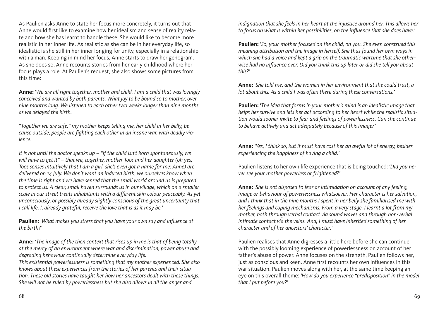As Paulien asks Anne to state her focus more concretely, it turns out that Anne would first like to examine how her idealism and sense of reality relate and how she has learnt to handle these. She would like to become more realistic in her inner life. As realistic as she can be in her everyday life, so idealistic is she still in her inner longing for unity, especially in a relationship with a man. Keeping in mind her focus, Anne starts to draw her genogram. As she does so, Anne recounts stories from her early childhood where her focus plays a role. At Paulien's request, she also shows some pictures from this time:

**Anne:** '*We are all right together, mother and child. I am a child that was lovingly conceived and wanted by both parents. What joy to be bound so to mother, over nine months long. We listened to each other two weeks longer than nine months as we delayed the birth.*

*"Together we are safe," my mother keeps telling me, her child in her belly, because outside, people are fighting each other in an insane war, with deadly violence.*

*It is not until the doctor speaks up – "If the child isn't born spontaneously, we will have to get it" – that we, together, mother Toos and her daughter (oh yes, Toos senses intuitively that I am a girl, she's even got a name for me: Anne) are delivered on 14 July. We don't want an induced birth, we ourselves know when the time is right and we have sensed that the small world around us is prepared to protect us. A clear, small haven surrounds us in our village, which on a smaller scale in our street treats inhabitants with a different skin colour peaceably. As yet unconsciously, or possibly already slightly conscious of the great uncertainty that I call life, I, already grateful, receive the love that is as it may be.'*

**Paulien:** '*What makes you stress that you have your own say and influence at the birth?'*

**Anne:** *'The image of the then context that rises up in me is that of being totally at the mercy of an environment where war and discrimination, power abuse and degrading behaviour continually determine everyday life.* 

*This existential powerlessness is something that my mother experienced. She also knows about these experiences from the stories of her parents and their situation. These old stories have taught her how her ancestors dealt with these things. She will not be ruled by powerlessness but she also allows in all the anger and* 

*indignation that she feels in her heart at the injustice around her. This allows her to focus on what is within her possibilities, on the influence that she does have.'*

**Paulien:** '*So, your mother focused on the child, on you. She even construed this meaning attribution and the image in herself. She thus found her own ways in which she had a voice and kept a grip on the traumatic wartime that she otherwise had no influence over. Did you think this up later or did she tell you about this?'*

**Anne:** '*She told me, and the women in her environment that she could trust, a lot about this. As a child I was often there during these conversations.'*

**Paulien:** '*The idea that forms in your mother's mind is an idealistic image that helps her survive and lets her act according to her heart while the realistic situation would sooner invite to fear and feelings of powerlessness. Can she continue to behave actively and act adequately because of this image?'*

**Anne:** *'Yes, I think so, but it must have cost her an awful lot of energy, besides experiencing the happiness of having a child.'*

Paulien listens to her own life experience that is being touched: *'Did you never see your mother powerless or frightened?'*

**Anne:** '*She is not disposed to fear or intimidation on account of any feeling, image or behaviour of powerlessness whatsoever. Her character is her salvation, and I think that in the nine months I spent in her belly she familiarised me with her feelings and coping mechanisms. From a very stage, I learnt a lot from my mother, both through verbal contact via sound waves and through non-verbal intimate contact via the veins. And, I must have inherited something of her character and of her ancestors' character.'*

Paulien realises that Anne digresses a little here before she can continue with the possibly looming experience of powerlessness on account of her father's abuse of power. Anne focuses on the strength, Paulien follows her, just as conscious and keen. Anne first recounts her own influences in this war situation. Paulien moves along with her, at the same time keeping an eye on this overall theme: *'How do you experience "predisposition" in the model that I put before you?'*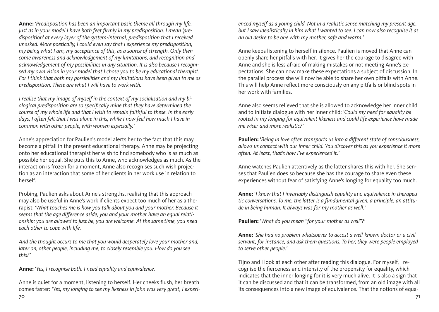**Anne:** *'Predisposition has been an important basic theme all through my life. Just as in your model I have both feet firmly in my predisposition. I mean 'predisposition' at every layer of the system-internal, predisposition that I received unasked. More poetically, I could even say that I experience my predisposition, my being what I am, my acceptance of this, as a source of strength. Only then come awareness and acknowledgement of my limitations, and recognition and acknowledgement of my possibilities in any situation. It is also because I recognised my own vision in your model that I chose you to be my educational therapist. For I think that both my possibilities and my limitations have been given to me as predisposition. These are what I will have to work with.*

*I realise that my image of myself in the context of my socialisation and my biological predisposition are so specifically mine that they have determined the course of my whole life and that I wish to remain faithful to these. In the early*  days, I often felt that I was alone in this, while I now feel how much I have in *common with other people, with women especially.'*

Anne's appreciation for Paulien's model alerts her to the fact that this may become a pitfall in the present educational therapy. Anne may be projecting onto her educational therapist her wish to find somebody who is as much as possible her equal. She puts this to Anne, who acknowledges as much. As the interaction is frozen for a moment, Anne also recognises such wish projection as an interaction that some of her clients in her work use in relation to herself.

Probing, Paulien asks about Anne's strengths, realising that this approach may also be useful in Anne's work if clients expect too much of her as a therapist: *'What touches me is how you talk about you and your mother. Because it seems that the age difference aside, you and your mother have an equal relationship: you are allowed to just be, you are welcome. At the same time, you need each other to cope with life.*

*And the thought occurs to me that you would desperately love your mother and, later on, other people, including me, to closely resemble you. How do you see this?'*

**Anne:** '*Yes, I recognise both. I need equality and equivalence.'*

70 71 Anne is quiet for a moment, listening to herself. Her cheeks flush, her breath comes faster: *'Yes, my longing to see my likeness in John was very great, I experi-*

*enced myself as a young child. Not in a realistic sense matching my present age, but I saw idealistically in him what I wanted to see. I can now also recognise it as an old desire to be one with my mother, safe and warm.'*

Anne keeps listening to herself in silence. Paulien is moved that Anne can openly share her pitfalls with her. It gives her the courage to disagree with Anne and she is less afraid of making mistakes or not meeting Anne's expectations. She can now make these expectations a subject of discussion. In the parallel process she will now be able to share her own pitfalls with Anne. This will help Anne reflect more consciously on any pitfalls or blind spots in her work with families.

Anne also seems relieved that she is allowed to acknowledge her inner child and to initiate dialogue with her inner child: *'Could my need for equality be rooted in my longing for equivalent likeness and could life experience have made me wiser and more realistic?'*

**Paulien:** '*Being in love often transports us into a different state of consciousness, allows us contact with our inner child. You discover this as you experience it more often. At least, that's how I've experienced it.'*

Anne watches Paulien attentively as the latter shares this with her. She senses that Paulien does so because she has the courage to share even these experiences without fear of satisfying Anne's longing for equality too much.

**Anne:** '*I know that I invariably distinguish equality* and *equivalence in therapeutic conversations. To me, the latter is a fundamental given, a principle, an attitude in being human. It always was for my mother as well.'*

**Paulien:** '*What do you mean "for your mother as well"?'*

**Anne:** '*She had no problem whatsoever to accost a well-known doctor or a civil servant, for instance, and ask them questions. To her, they were people employed to serve other people.'*

Tijno and I look at each other after reading this dialogue. For myself, I recognise the fierceness and intensity of the propensity for equality, which indicates that the inner longing for it is very much alive. It is also a sign that it can be discussed and that it can be transformed, from an old image with all its consequences into a new image of equivalence. That the notions of equa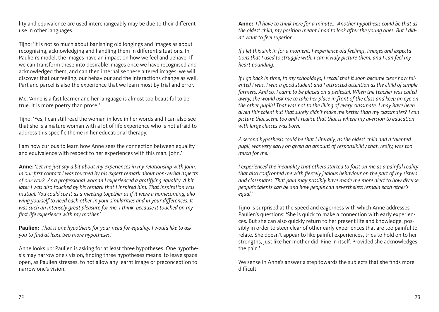lity and equivalence are used interchangeably may be due to their different use in other languages.

Tijno: 'It is not so much about banishing old longings and images as about recognising, acknowledging and handling them in different situations. In Paulien's model, the images have an impact on how we feel and behave. If we can transform these into desirable images once we have recognised and acknowledged them, and can then internalise these altered images, we will discover that our feeling, our behaviour and the interactions change as well. Part and parcel is also the experience that we learn most by trial and error.'

Me: 'Anne is a fast learner and her language is almost too beautiful to be true. It is more poetry than prose!'

Tijno: 'Yes, I can still read the woman in love in her words and I can also see that she is a mature woman with a lot of life experience who is not afraid to address this specific theme in her educational therapy.

I am now curious to learn how Anne sees the connection between equality and equivalence with respect to her experiences with this man, John.'

**Anne:** '*Let me just say a bit about my experiences in my relationship with John. In our first contact I was touched by his expert remark about non-verbal aspects of our work. As a professional woman I experienced a gratifying equality. A bit later I was also touched by his remark that I inspired him. That inspiration was mutual. You could see it as a meeting together as if it were a homecoming, allowing yourself to need each other in your similarities and in your differences. It was such an intensely great pleasure for me, I think, because it touched on my first life experience with my mother.'*

**Paulien:** '*That is one hypothesis for your need for equality. I would like to ask you to find at least two more hypotheses.'*

Anne looks up: Paulien is asking for at least three hypotheses. One hypothesis may narrow one's vision, finding three hypotheses means 'to leave space open, as Paulien stresses, to not allow any learnt image or preconception to narrow one's vision.

**Anne:** '*I'll have to think here for a minute... Another hypothesis could be that as the oldest child, my position meant I had to look after the young ones. But I didn't want to feel superior.* 

*If I let this sink in for a moment, I experience old feelings, images and expectations that I used to struggle with. I can vividly picture them, and I can feel my heart pounding.*

*If I go back in time, to my schooldays, I recall that it soon became clear how talented I was. I was a good student and I attracted attention as the child of simple farmers. And so, I came to be placed on a pedestal. When the teacher was called away, she would ask me to take her place in front of the class and keep an eye on the other pupils! That was not to the liking of every classmate. I may have been given this talent but that surely didn't make me better than my classmates? I can picture that scene too and I realise that that is where my aversion to education with large classes was born.*

*A second hypothesis could be that I literally, as the oldest child and a talented pupil, was very early on given an amount of responsibility that, really, was too much for me.*

*I experienced the inequality that others started to foist on me as a painful reality that also confronted me with fiercely jealous behaviour on the part of my sisters and classmates. That pain may possibly have made me more alert to how diverse people's talents can be and how people can nevertheless remain each other's equal.'*

Tijno is surprised at the speed and eagerness with which Anne addresses Paulien's questions: 'She is quick to make a connection with early experiences. But she can also quickly return to her present life and knowledge, possibly in order to steer clear of other early experiences that are too painful to relate. She doesn't appear to like painful experiences, tries to hold on to her strengths, just like her mother did. Fine in itself. Provided she acknowledges the pain.'

We sense in Anne's answer a step towards the subjects that she finds more difficult.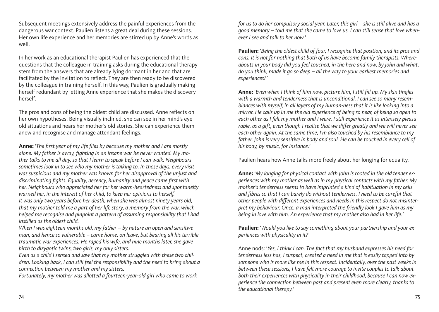Subsequent meetings extensively address the painful experiences from the dangerous war context. Paulien listens a great deal during these sessions. Her own life experience and her memories are stirred up by Anne's words as well.

In her work as an educational therapist Paulien has experienced that the questions that the colleague in training asks during the educational therapy stem from the answers that are already lying dormant in her and that are facilitated by the invitation to reflect. They are then ready to be discovered by the colleague in training herself. In this way, Paulien is gradually making herself redundant by letting Anne experience that she makes the discovery herself.

The pros and cons of being the oldest child are discussed. Anne reflects on her own hypotheses. Being visually inclined, she can see in her mind's eye old situations and hears her mother's old stories. She can experience them anew and recognise and manage attendant feelings.

**Anne:** '*The first year of my life flies by because my mother and I are mostly alone. My father is away, fighting in an insane war he never wanted. My mother talks to me all day, so that I learn to speak before I can walk. Neighbours sometimes look in to see who my mother is talking to. In those days, every visit was suspicious and my mother was known for her disapproval of the unjust and discriminating fights. Equality, decency, humanity and peace came first with her. Neighbours who appreciated her for her warm-heartedness and spontaneity warned her, in the interest of her child, to keep her opinions to herself. It was only two years before her death, when she was almost ninety years old, that my mother told me a part of her life story, a memory from the war, which helped me recognise and pinpoint a pattern of assuming responsibility that I had instilled as the oldest child.*

*When I was eighteen months old, my father – by nature an open and sensitive man, and hence so vulnerable – came home, on leave, but bearing all his terrible traumatic war experiences. He raped his wife, and nine months later, she gave birth to dizygotic twins, two girls, my only sisters.*

*Even as a child I sensed and saw that my mother struggled with these two children. Looking back, I can still feel the responsibility and the need to bring about a connection between my mother and my sisters.*

*Fortunately, my mother was allotted a fourteen-year-old girl who came to work* 

*for us to do her compulsory social year. Later, this girl – she is still alive and has a good memory – told me that she came to love us. I can still sense that love whenever I see and talk to her now.'*

**Paulien:** '*Being the oldest child of four, I recognise that position, and its pros and cons. It is not for nothing that both of us have become family therapists. Whereabouts in your body did you feel touched, in the here and now, by John and what, do you think, made it go so deep – all the way to your earliest memories and experiences?'*

**Anne:** '*Even when I think of him now, picture him, I still fill up. My skin tingles with a warmth and tenderness that is unconditional. I can see so many resemblances with myself, in all layers of my human-ness that it is like looking into a mirror. He calls up in me the old experience of being so near, of being so open to each other as I felt my mother and I were. I still experience it as intensely pleasurable, as a gift, even though I realise that we differ greatly and we will never see each other again. At the same time, I'm also touched by his resemblance to my father. John is very sensitive in body and soul. He can be touched in every cell of his body, by music, for instance.'*

Paulien hears how Anne talks more freely about her longing for equality.

**Anne:** '*My longing for physical contact with John is rooted in the old tender experiences with my mother as well as in my physical contacts with my father. My mother's tenderness seems to have imprinted a kind of habituation in my cells and fibres so that I can barely do without tenderness. I need to be careful that other people with different experiences and needs in this respect do not misinterpret my behaviour. Once, a man interpreted the friendly look I gave him as my being in love with him. An experience that my mother also had in her life.'*

**Paulien:** '*Would you like to say something about your partnership and your experiences with physicality in it?'*

Anne nods: '*Yes, I think I can. The fact that my husband expresses his need for tenderness less has, I suspect, created a need in me that is easily tapped into by someone who is more like me in this respect. Incidentally, over the past weeks in between these sessions, I have felt more courage to invite couples to talk about both their experiences with physicality in their childhood, because I can now experience the connection between past and present even more clearly, thanks to the educational therapy.'*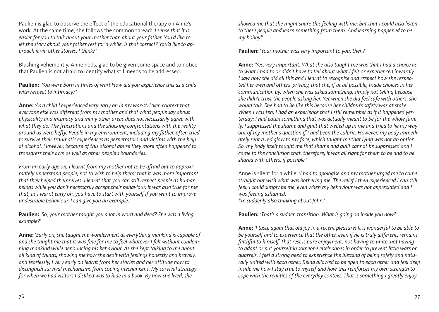Paulien is glad to observe the effect of the educational therapy on Anne's work. At the same time, she follows the common thread: '*I sense that it is easier for you to talk about your mother than about your father. You'd like to let the story about your father rest for a while, is that correct? You'd like to approach it via other stories, I think?'*

Blushing vehemently, Anne nods, glad to be given some space and to notice that Paulien is not afraid to identify what still needs to be addressed.

**Paulien:** '*You were born in times of war! How did you experience this as a child with respect to intimacy?'*

**Anne:** *'As a child I experienced very early on in my war-stricken context that everyone else was different from my mother and that what people say about physicality and intimacy and many other areas does not necessarily agree with what they do. The frustrations and the shocking confrontations with the reality around us were hefty. People in my environment, including my father, often tried to survive their traumatic experiences as perpetrators and victims with the help of alcohol. However, because of this alcohol abuse they more often happened to transgress their own as well as other people's boundaries.*

*From an early age on, I learnt from my mother not to be afraid but to approximately understand people, not to wish to help them; that it was more important that they helped themselves. I learnt that you can still respect people as human beings while you don't necessarily accept their behaviour. It was also true for me that, as I learnt early on, you have to start with yourself if you want to improve undesirable behaviour. I can give you an example.'*

**Paulien:** '*So, your mother taught you a lot in word and deed? She was a living example?'*

**Anne:** '*Early on, she taught me wonderment at everything mankind is capable of and she taught me that it was fine for me to feel whatever I felt without condemning mankind while denouncing his behaviour. As she kept talking to me about all kind of things, showing me how she dealt with feelings honestly and bravely, and fearlessly, I very early on learnt from her stories and her attitude how to distinguish survival mechanisms from coping mechanisms. My survival strategy for when we had visitors I disliked was to hide in a book. By how she lived, she* 

*showed me that she might share this feeling with me, but that I could also listen to these people and learn something from them. And learning happened to be my hobby!'*

**Paulien:** '*Your mother was very important to you, then?'*

**Anne:** *'Yes, very important! What she also taught me was that I had a choice as to what I had to or didn't have to tell about what I felt or experienced inwardly. I saw how she did all this and I learnt to recognise and respect how she respected her own and others' privacy, that she, if at all possible, made choices in her communication by, when she was asked something, simply not telling because she didn't trust the people asking her. Yet when she did feel safe with others, she would talk. She had to be like this because her children's safety was at stake. When I was ten, I had an experience that I still remember as if it happened yesterday: I had eaten something that was actually meant to be for the whole family. I suppressed the shame and guilt that welled up in me and tried to lie my way out of my mother's question if I had been the culprit. However, my body immediately sent a red glow to my face, which taught me that lying was not an option. So, my body itself taught me that shame and guilt cannot be suppressed and I came to the conclusion that, therefore, it was all right for them to be and to be shared with others, if possible.'*

Anne is silent for a while: *'I had to apologise and my mother urged me to come straight out with what was bothering me. The relief I then experienced I can still feel. I could simply be me, even when my behaviour was not appreciated and I was feeling ashamed. I'm suddenly also thinking about John.'*

**Paulien:** *'That's a sudden transition. What is going on inside you now?'*

**Anne:** *'I taste again that old joy in a recent pleasure! It is wonderful to be able to be yourself and to experience that the other, even if he is truly different, remains faithful to himself. That rest is pure enjoyment: not having to unite, not having to adapt or put yourself in someone else's shoes in order to prevent little wars or quarrels. I feel a strong need to experience the blessing of being safely and naturally united with each other. Being allowed to be open to each other and feel deep inside me how I stay true to myself and how this reinforces my own strength to cope with the realities of the everyday context. That is something I greatly enjoy.*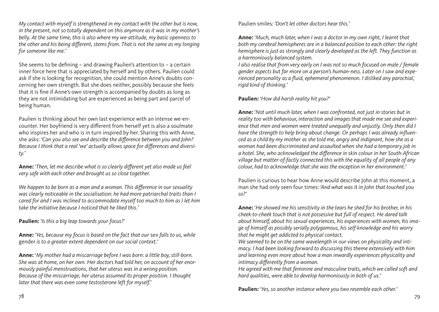*My contact with myself is strengthened in my contact with the other but is now, in the present, not so totally dependent on this anymore as it was in my mother's belly. At the same time, this is also where my we-attitude, my basic openness to the other and his being different, stems from. That is not the same as my longing for someone like me.'*

She seems to be defining – and drawing Paulien's attention to – a certain inner force here that is appreciated by herself and by others. Paulien could ask if she is looking for recognition, she could mention Anne's doubts concerning her own strength. But she does neither, possibly because she feels that it is fine if Anne's own strength is accompanied by doubts as long as they are not intimidating but are experienced as being part and parcel of being human.

Paulien is thinking about her own last experience with an intense we-encounter. Her boyfriend is very different from herself yet is also a soulmate who inspires her and who is in turn inspired by her. Sharing this with Anne, she asks: *'Can you also see and describe the difference between you and John? Because I think that a real 'we' actually allows space for differences and diversity.'*

**Anne:** '*Then, let me describe what is so clearly different yet also made us feel very safe with each other and brought us so close together.*

*We happen to be born as a man and a woman. This difference in our sexuality was clearly noticeable in the socialisation: he had more patriarchal traits than I cared for and I was inclined to accommodate myself too much to him as I let him take the initiative because I noticed that he liked this.'*

**Paulien:** *'Is this a big leap towards your focus?'*

**Anne:** '*Yes, because my focus is based on the fact that our* sex *falls to us, while*  gender *is to a greater extent dependent on our social context.'*

**Anne:** '*My mother had a miscarriage before I was born: a little boy, still-born. She was at home, on her own. Her doctors had told her, on account of her enormously painful menstruations, that her uterus was in a wrong position. Because of the miscarriage, her uterus assumed its proper position. I thought later that there was even some testosterone left for myself.'*

Paulien smiles*: 'Don't let other doctors hear this.'*

**Anne:** '*Much, much later, when I was a doctor in my own right, I learnt that both my cerebral hemispheres are in a balanced position to each other: the right hemisphere is just as strongly and clearly developed as the left. They function as a harmoniously balanced system.* 

*I also realise that from very early on I was not so much focused on male / female gender aspects but far more on a person's human-ness. Later on I saw and experienced personality as a fluid, ephemeral phenomenon. I disliked any parochial, rigid kind of thinking.'*

**Paulien:** '*How did harsh reality hit you?'*

**Anne:** '*Not until much later, when I was confronted, not just in stories but in reality too with behaviour, interaction and images that made me see and experience that men and women were treated unequally and unjustly. Only then did I have the strength to help bring about change. Or perhaps I was already influenced as a child by my mother as she told me, angry and indignant, how she as a woman had been discriminated and assaulted when she had a temporary job in a hotel. She, who acknowledged the difference in skin colour in her South-African village but matter-of-factly connected this with the equality of all people of any colour, had to acknowledge that she was the exception in her environment.'*

Paulien is curious to hear how Anne would describe John at this moment, a man she had only seen four times: *'And what was it in John that touched you so?'*

**Anne:** '*He showed me his sensitivity in the tears he shed for his brother, in his cheek-to-cheek touch that is not possessive but full of respect. He dared talk about himself, about his sexual experiences, his experiences with women, his image of himself as possibly serially polygamous, his self-knowledge and his worry that he might get addicted to physical contact.*

*We seemed to be on the same wavelength in our views on physicality and intimacy. I had been looking forward to discussing this theme extensively with him and learning even more about how a man inwardly experiences physicality and intimacy differently from a woman.*

*He agreed with me that feminine and masculine traits, which we called soft and hard qualities, were able to develop harmoniously in both of us.'*

**Paulien:** '*Yes, so another instance where you two resemble each other.'*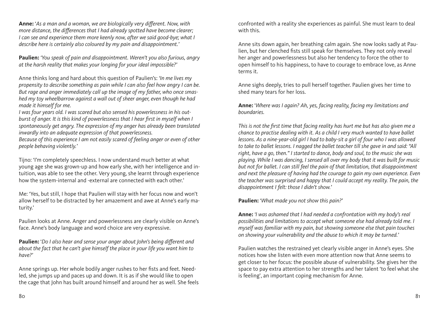**Anne:** '*As a man and a woman, we are biologically very different. Now, with more distance, the differences that I had already spotted have become clearer; I can see and experience them more keenly now, after we said good-bye; what I describe here is certainly also coloured by my pain and disappointment.'*

**Paulien:** *'You speak of pain and disappointment. Weren't you also furious, angry at the harsh reality that makes your longing for your ideal impossible?'*

Anne thinks long and hard about this question of Paulien's: *'In me lives my propensity to describe something as pain while I can also feel how angry I can be. But rage and anger immediately call up the image of my father, who once smashed my toy wheelbarrow against a wall out of sheer anger, even though he had made it himself for me.*

*I was four years old. I was scared but also sensed his powerlessness in his outburst of anger. It is this kind of powerlessness that I hear first in myself when I spontaneously get angry. The expression of my anger has already been translated inwardly into an adequate expression of that powerlessness.*

*Because of this experience I am not easily scared of feeling anger or even of other people behaving violently.'*

Tijno: 'I'm completely speechless. I now understand much better at what young age she was grown-up and how early she, with her intelligence and intuition, was able to see the other. Very young, she learnt through experience how the system-internal and -external are connected with each other.'

Me: 'Yes, but still, I hope that Paulien will stay with her focus now and won't allow herself to be distracted by her amazement and awe at Anne's early maturity.'

Paulien looks at Anne. Anger and powerlessness are clearly visible on Anne's face. Anne's body language and word choice are very expressive.

**Paulien:** '*Do I also hear and sense your anger about John's being different and about the fact that he can't give himself the place in your life you want him to have?'*

Anne springs up. Her whole bodily anger rushes to her fists and feet. Needled, she jumps up and paces up and down. It is as if she would like to open the cage that John has built around himself and around her as well. She feels confronted with a reality she experiences as painful. She must learn to deal with this.

Anne sits down again, her breathing calm again. She now looks sadly at Paulien, but her clenched fists still speak for themselves. They not only reveal her anger and powerlessness but also her tendency to force the other to open himself to his happiness, to have to courage to embrace love, as Anne terms it.

Anne sighs deeply, tries to pull herself together. Paulien gives her time to shed many tears for her loss.

**Anne:** '*Where was I again? Ah, yes, facing reality, facing my limitations and boundaries.*

*This is not the first time that facing reality has hurt me but has also given me a chance to practise dealing with it. As a child I very much wanted to have ballet lessons. As a nine-year-old girl I had to baby-sit a girl of four who I was allowed to take to ballet lessons. I nagged the ballet teacher till she gave in and said: "All right, have a go, then." I started to dance, body and soul, to the music she was playing. While I was dancing, I sensed all over my body that it was built for music but not for ballet. I can still feel the pain of that limitation, that disappointment and next the pleasure of having had the courage to gain my own experience. Even the teacher was surprised and happy that I could accept my reality. The pain, the disappointment I felt: those I didn't show.'*

**Paulien:** '*What made you not show this pain?'*

**Anne:** *'I was ashamed that I had needed a confrontation with my body's real possibilities and limitations to accept what someone else had already told me. I myself was familiar with my pain, but showing someone else that pain touches on showing your vulnerability and the abuse to which it may be turned.'*

Paulien watches the restrained yet clearly visible anger in Anne's eyes. She notices how she listen with even more attention now that Anne seems to get closer to her focus: the possible abuse of vulnerability. She gives her the space to pay extra attention to her strengths and her talent 'to feel what she is feeling', an important coping mechanism for Anne.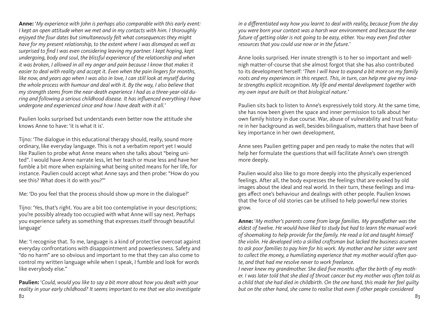**Anne:** '*My experience with John is perhaps also comparable with this early event: I kept an open attitude when we met and in my contacts with him. I thoroughly enjoyed the four dates but simultaneously felt what consequences they might have for my present relationship, to the extent where I was dismayed as well as surprised to find I was even considering leaving my partner. I kept hoping, kept undergoing, body and soul, the blissful experience of the relationship and when it was broken, I allowed in all my anger and pain because I know that makes it easier to deal with reality and accept it. Even when the pain lingers for months, like now, and years ago when I was also in love, I can still look at myself during the whole process with humour and deal with it. By the way, I also believe that my strength stems from the near-death experience I had as a three-year-old during and following a serious childhood disease. It has influenced everything I have undergone and experienced since and how I have dealt with it all.'*

Paulien looks surprised but understands even better now the attitude she knows Anne to have: 'it is what it is'.

Tijno: 'The dialogue in this educational therapy should, really, sound more ordinary, like everyday language. This is not a verbatim report yet I would like Paulien to probe what Anne means when she talks about "being united". I would have Anne narrate less, let her teach or muse less and have her fumble a bit more when explaining what being united means for her life, for instance. Paulien could accept what Anne says and then probe: "How do you see this? What does it do with you?"'

Me: 'Do you feel that the process should show up more in the dialogue?'

Tijno: 'Yes, that's right. You are a bit too contemplative in your descriptions; you're possibly already too occupied with what Anne will say next. Perhaps you experience safety as something that expresses itself through beautiful language'

Me: 'I recognise that. To me, language is a kind of protective overcoat against everyday confrontations with disappointment and powerlessness. Safety and "do no harm" are so obvious and important to me that they can also come to control my written language while when I speak, I fumble and look for words like everybody else."

82 a se de la constantidad de la constantidad de la constantidad de la constantidad de la constantidad de la c **Paulien:** '*Could, would you like to say a bit more about how you dealt with your reality in your early childhood? It seems important to me that we also investigate* 

*in a differentiated way how you learnt to deal with reality, because from the day you were born your context was a harsh war environment and because the near future of getting older is not going to be easy, either. You may even find other resources that you could use now or in the future.'*

Anne looks surprised. Her innate strength is to her so important and wellnigh matter-of-course that she almost forgot that she has also contributed to its development herself: *'Then I will have to expand a bit more on my family roots and my experiences in this respect. This, in turn, can help me give my innate strengths explicit recognition. My life and mental development together with my own input are built on that biological nature.'*

Paulien sits back to listen to Anne's expressively told story. At the same time, she has now been given the space and inner permission to talk about her own family history in due course. War, abuse of vulnerability and trust feature in her background as well, besides bilingualism, matters that have been of key importance in her own development.

Anne sees Paulien getting paper and pen ready to make the notes that will help her formulate the questions that will facilitate Anne's own strength more deeply.

Paulien would also like to go more deeply into the physically experienced feelings. After all, the body expresses the feelings that are evoked by old images about the ideal and real world. In their turn, these feelings and images affect one's behaviour and dealings with other people. Paulien knows that the force of old stories can be utilised to help powerful new stories grow.

**Anne:** '*My mother's parents come from large families. My grandfather was the eldest of twelve. He would have liked to study but had to learn the manual work of shoemaking to help provide for the family. He read a lot and taught himself the violin. He developed into a skilled craftsman but lacked the business acumen to ask poor families to pay him for his work. My mother and her sister were sent to collect the money, a humiliating experience that my mother would often quote, and that had me resolve never to work freelance.*

*I never knew my grandmother. She died five months after the birth of my mother. I was later told that she died of throat cancer but my mother was often told as a child that she had died in childbirth. On the one hand, this made her feel guilty but on the other hand, she came to realise that even if other people considered*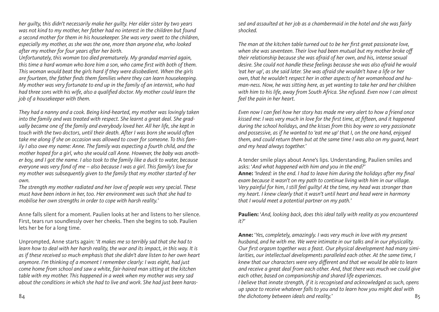*her guilty, this didn't necessarily make her guilty. Her elder sister by two years was not kind to my mother, her father had no interest in the children but found a second mother for them in his housekeeper. She was very sweet to the children, especially my mother, as she was the one, more than anyone else, who looked after my mother for four years after her birth.*

*Unfortunately, this woman too died prematurely. My grandad married again, this time a hard woman who bore him a son, who came first with both of them. This woman would beat the girls hard if they were disobedient. When the girls are fourteen, the father finds them families where they can learn housekeeping. My mother was very fortunate to end up in the family of an internist, who had had three sons with his wife, also a qualified doctor. My mother could learn the job of a housekeeper with them.*

*They had a nanny and a cook. Being kind-hearted, my mother was lovingly taken into the family and was treated with respect. She learnt a great deal. She gradually became one of the family and everybody loved her. All her life, she kept in touch with the two doctors, until their death. After I was born she would often take me along if she on occasion was allowed to cover for someone. To this family I also owe my name: Anne. The family was expecting a fourth child, and the mother hoped for a girl, who she would call Anne. However, the baby was another boy, and I got the name. I also took to the family like a duck to water, because everyone was very fond of me – also because I was a girl. This family's love for my mother was subsequently given to the family that my mother started of her own.*

*The strength my mother radiated and her love of people was very special. These must have been inborn in her, too. Her environment was such that she had to mobilise her own strengths in order to cope with harsh reality.'*

Anne falls silent for a moment. Paulien looks at her and listens to her silence. First, tears run soundlessly over her cheeks. Then she begins to sob. Paulien lets her be for a long time.

Unprompted, Anne starts again: '*It makes me so terribly sad that she had to learn how to deal with her harsh reality, the war and its impact, in this way. It is as if these received so much emphasis that she didn't dare listen to her own heart anymore. I'm thinking of a moment I remember clearly: I was eight, had just come home from school and saw a white, fair-haired man sitting at the kitchen table with my mother. This happened in a week when my mother was very sad about the conditions in which she had to live and work. She had just been haras-* *sed and assaulted at her job as a chambermaid in the hotel and she was fairly shocked.*

*The man at the kitchen table turned out to be her first great passionate love, when she was seventeen. Their love had been mutual but my mother broke off their relationship because she was afraid of her own, and his, intense sexual desire. She could not handle these feelings because she was also afraid he would 'eat her up', as she said later. She was afraid she wouldn't have a life or her own, that he wouldn't respect her in other aspects of her womanhood and human-ness. Now, he was sitting here, as yet wanting to take her and her children with him to his life, away from South Africa. She refused. Even now I can almost feel the pain in her heart.*

*Even now I can feel how her story has made me very alert to how a friend once kissed me: I was very much in love for the first time, at fifteen, and it happened during the school holidays, and the kisses from this boy were so very passionate and possessive, as if he wanted to 'eat me up' that I, on the one hand, enjoyed them, and could return them but at the same time I was also on my guard, heart and my head always together.'*

A tender smile plays about Anne's lips. Understanding, Paulien smiles and asks: '*And what happened with him and you in the end?'*

**Anne:** *'Indeed: in the end. I had to leave him during the holidays after my final exam because it wasn't on my path to continue living with him in our village. Very painful for him, I still feel guilty! At the time, my head was stronger than my heart. I knew clearly that it wasn't until heart and head were in harmony that I would meet a potential partner on my path.'*

**Paulien:** '*And, looking back, does this ideal tally with reality as you encountered it?'*

**Anne:** '*Yes, completely, amazingly. I was very much in love with my present husband, and he with me. We were intimate in our talks and in our physicality. Our first orgasm together was a feast. Our physical development had many similarities, our intellectual developments paralleled each other. At the same time, I knew that our characters were very different and that we would be able to learn and receive a great deal from each other. And, that there was much we could give each other, based on companionship and shared life experiences. I believe that innate strength, if it is recognised and acknowledged as such, opens up space to receive whatever falls to you and to learn how you might deal with*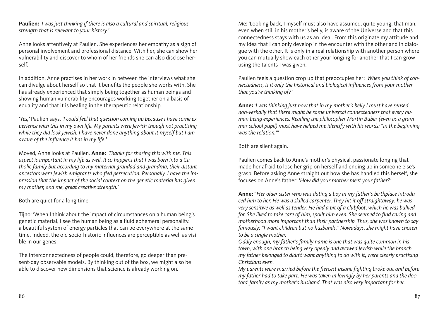**Paulien:** '*I was just thinking if there is also a cultural and spiritual, religious strength that is relevant to your history.'*

Anne looks attentively at Paulien. She experiences her empathy as a sign of personal involvement and professional distance. With her, she can show her vulnerability and discover to whom of her friends she can also disclose herself.

In addition, Anne practises in her work in between the interviews what she can divulge about herself so that it benefits the people she works with. She has already experienced that simply being together as human beings and showing human vulnerability encourages working together on a basis of equality and that it is healing in the therapeutic relationship.

*'Yes,'* Paulien says*, 'I could feel that question coming up because I have some experience with this in my own life. My parents were Jewish though not practising while they did look Jewish. I have never done anything about it myself but I am aware of the influence it has in my life.'*

Moved, Anne looks at Paulien*.* **Anne:** '*Thanks for sharing this with me. This aspect is important in my life as well. It so happens that I was born into a Catholic family but according to my maternal grandad and grandma, their distant ancestors were Jewish emigrants who fled persecution. Personally, I have the impression that the impact of the social context on the genetic material has given my mother, and me, great creative strength.'*

Both are quiet for a long time.

Tijno: 'When I think about the impact of circumstances on a human being's genetic material, I see the human being as a fluid ephemeral personality, a beautiful system of energy particles that can be everywhere at the same time. Indeed, the old socio-historic influences are perceptible as well as visible in our genes.

The interconnectedness of people could, therefore, go deeper than present-day observable models. By thinking out of the box, we might also be able to discover new dimensions that science is already working on.

Me: 'Looking back, I myself must also have assumed, quite young, that man, even when still in his mother's belly, is aware of the Universe and that this connectedness stays with us as an ideal. From this originate my attitude and my idea that I can only develop in the encounter with the other and in dialogue with the other. It is only in a real relationship with another person where you can mutually show each other your longing for another that I can grow using the talents I was given.

Paulien feels a question crop up that preoccupies her: *'When you think of connectedness, is it only the historical and biological influences from your mother that you're thinking of?'*

**Anne:** '*I was thinking just now that in my mother's belly I must have sensed non-verbally that there might be some universal connectedness that every human being experiences. Reading the philosopher Martin Buber (even as a grammar school pupil) must have helped me identify with his words: "In the beginning was the relation."'*

Both are silent again.

Paulien comes back to Anne's mother's physical, passionate longing that made her afraid to lose her grip on herself and ending up in someone else's grasp. Before asking Anne straight out how she has handled this herself, she focuses on Anne's father: '*How did your mother meet your father?'*

**Anne:** "*Her older sister who was dating a boy in my father's birthplace introduced him to her. He was a skilled carpenter. They hit it off straightaway: he was very sensitive as well as tender. He had a bit of a clubfoot, which he was bullied for. She liked to take care of him, spoilt him even. She seemed to find caring and motherhood more important than their partnership. Thus, she was known to say famously: "I want children but no husbands." Nowadays, she might have chosen to be a single mother.*

*Oddly enough, my father's family name is one that was quite common in his town, with one branch being very openly and avowed Jewish while the branch my father belonged to didn't want anything to do with it, were clearly practising Christians even.*

*My parents were married before the fiercest insane fighting broke out and before my father had to take part. He was taken in lovingly by her parents and the doctors' family as my mother's husband. That was also very important for her.*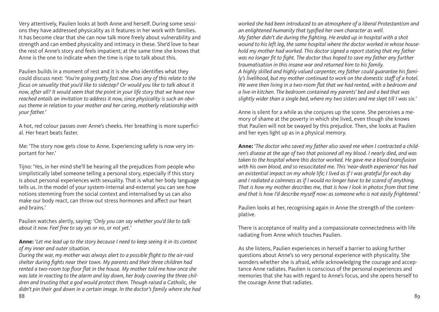Very attentively, Paulien looks at both Anne and herself. During some sessions they have addressed physicality as it features in her work with families. It has become clear that she can now talk more freely about vulnerability and strength and can embed physicality and intimacy in these. She'd love to hear the rest of Anne's story and feels impatient; at the same time she knows that Anne is the one to indicate when the time is ripe to talk about this.

Paulien builds in a moment of rest and it is she who identifies what they could discuss next: *'You're going pretty fast now. Does any of this relate to the focus on sexuality that you'd like to sidestep? Or would you like to talk about it now, after all? It would seem that the point in your life story that we have now reached entails an invitation to address it now, since physicality is such an obvious theme in relation to your mother and her caring, motherly relationship with your father.'*

A hot, red colour passes over Anne's cheeks. Her breathing is more superficial. Her heart beats faster.

Me: 'The story now gets close to Anne. Experiencing safety is now very important for her.'

Tijno: 'Yes, in her mind she'll be hearing all the prejudices from people who simplistically label someone telling a personal story, especially if this story is about personal experiences with sexuality. That is what her body language tells us. In the model of your system-internal and-external you can see how notions stemming from the social context and internalised by us can also make our body react, can throw out stress hormones and affect our heart and brains.'

Paulien watches alertly, saying*: 'Only you can say whether you'd like to talk about it now. Feel free to say yes or no, or not yet.'*

**Anne:** '*Let me lead up to the story because I need to keep seeing it in its context of my inner and outer situation.*

88 apr - 1986 - 1987 - 1988 apr - 1988 apr - 1989 apr - 1989 apr - 1989 apr - 199 *During the war, my mother was always alert to a possible flight to the air-raid shelter during fights near their town. My parents and their three children had rented a two-room top floor flat in the house. My mother told me how once she was late in reacting to the alarm and lay down, her body covering the three children and trusting that a god would protect them. Though raised a Catholic, she didn't pin their god down in a certain image. In the doctor's family where she had* 

*worked she had been introduced to an atmosphere of a liberal Protestantism and an enlightened humanity that typified her own character as well. My father didn't die during the fighting. He ended up in hospital with a shot wound to his left leg, the same hospital where the doctor worked in whose household my mother had worked. This doctor signed a report stating that my father was no longer fit to fight. The doctor thus hoped to save my father any further traumatisation in this insane war and returned him to his family. A highly skilled and highly valued carpenter, my father could guarantee his family's livelihood, but my mother continued to work on the domestic staff of a hotel. We were then living in a two-room flat that we had rented, with a bedroom and a live-in kitchen. The bedroom contained my parents' bed and a bed that was slightly wider than a single bed, where my two sisters and me slept till I was six.'*

Anne is silent for a while as she conjures up the scene. She perceives a memory of shame at the poverty in which she lived, even though she knows that Paulien will not be swayed by this prejudice. Then, she looks at Paulien and her eyes light up as in a physical memory.

**Anne:** '*The doctor who saved my father also saved me when I contracted a children's disease at the age of two that poisoned all my blood. I nearly died, and was taken to the hospital where this doctor worked. He gave me a blood transfusion with his own blood, and so resuscitated me. This 'near-death experience' has had an existential impact on my whole life; I lived as if I was grateful for each day and I radiated a calmness as if I would no longer have to be scared of anything. That is how my mother describes me, that is how I look in photos from that time and that is how I'd describe myself now: as someone who is not easily frightened.'*

Paulien looks at her, recognising again in Anne the strength of the contemplative.

There is acceptance of reality and a compassionate connectedness with life radiating from Anne which touches Paulien.

As she listens, Paulien experiences in herself a barrier to asking further questions about Anne's so very personal experience with physicality. She wonders whether she is afraid, while acknowledging the courage and acceptance Anne radiates. Paulien is conscious of the personal experiences and memories that she has with regard to Anne's focus, and she opens herself to the courage Anne that radiates.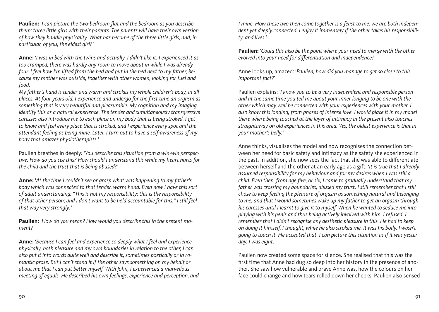**Paulien:** '*I can picture the two-bedroom flat and the bedroom as you describe them: three little girls with their parents. The parents will have their own version of how they handle physicality. What has become of the three little girls, and, in particular, of you, the eldest girl?'*

**Anne:** *'I was in bed with the twins and actually, I didn't like it. I experienced it as too cramped, there was hardly any room to move about in while I was already four. I feel how I'm lifted from the bed and put in the bed next to my father, because my mother was outside, together with other women, looking for fuel and food.*

*My father's hand is tender and warm and strokes my whole children's body, in all places. At four years old, I experience and undergo for the first time an orgasm as something that is very beautiful and pleasurable. My cognition and my imaging identify this as a natural experience. The tender and simultaneously transgressive caresses also introduce me to each place on my body that is being stroked. I get to know and feel every place that is stroked, and I experience every spot and the attendant feeling as being mine. Later, I turn out to have a self-awareness of my body that amazes physiotherapists.'*

Paulien breathes in deeply*: 'You describe this situation from a win-win perspective. How do you see this? How should I understand this while my heart hurts for the child and the trust that is being abused?'*

**Anne:** '*At the time I couldn't see or grasp what was happening to my father's body which was connected to that tender, warm hand. Even now I have this sort of adult understanding: "This is not my responsibility; this is the responsibility of that other person; and I don't want to be held accountable for this." I still feel that way very strongly!'*

**Paulien:** '*How do you mean? How would you describe this in the present moment?'*

**Anne:** '*Because I can feel and experience so deeply what I feel and experience physically, both pleasure and my own boundaries in relation to the other, I can also put it into words quite well and describe it, sometimes poetically or in romantic prose. But I can't stand it if the other says something on my behalf or about me that I can put better myself. With John, I experienced a marvellous meeting of equals. He described his own feelings, experience and perception, and*  *I mine. How these two then come together is a feast to me: we are both independent yet deeply connected. I enjoy it immensely if the other takes his responsibility, and lives.'*

**Paulien:** '*Could this also be the point where your need to merge with the other evolved into your need for differentiation and independence?'*

Anne looks up, amazed: '*Paulien, how did you manage to get so close to this important fact?*'

Paulien explains: *'I know you to be a very independent and responsible person and at the same time you tell me about your inner longing to be one with the other which may well be connected with your experiences with your mother. I also know this longing, from phases of intense love. I would place it in my model there where being touched at the layer of intimacy in the present also touches straightaway on old experiences in this area. Yes, the oldest experience is that in your mother's belly.'*

Anne thinks, visualises the model and now recognises the connection between her need for basic safety and intimacy as the safety she experienced in the past. In addition, she now sees the fact that she was able to differentiate between herself and the other at an early age as a gift: *'It is true that I already assumed responsibility for my behaviour and for my desires when I was still a child. Even then, from age five, or six, I came to gradually understand that my father was crossing my boundaries, abused my trust. I still remember that I still chose to keep feeling the pleasure of orgasm as something natural and belonging to me, and that I would sometimes wake up my father to get an orgasm through his caresses until I learnt to give it to myself. When he wanted to seduce me into playing with his penis and thus being actively involved with him, I refused. I remember that I didn't recognise any aesthetic pleasure in this. He had to keep on doing it himself, I thought, while he also stroked me. It was his body, I wasn't going to touch it. He accepted that. I can picture this situation as if it was yesterday. I was eight.'*

Paulien now created some space for silence. She realised that this was the first time that Anne had dug so deep into her history in the presence of another. She saw how vulnerable and brave Anne was, how the colours on her face could change and how tears rolled down her cheeks. Paulien also sensed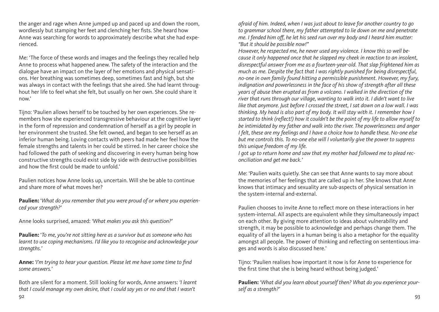the anger and rage when Anne jumped up and paced up and down the room, wordlessly but stamping her feet and clenching her fists. She heard how Anne was searching for words to approximately describe what she had experienced.

Me: 'The force of these words and images and the feelings they recalled help Anne to process what happened anew. The safety of the interaction and the dialogue have an impact on the layer of her emotions and physical sensations. Her breathing was sometimes deep, sometimes fast and high, but she was always in contact with the feelings that she aired. She had learnt throughout her life to feel what she felt, but usually on her own. She could share it now.'

Tijno: 'Paulien allows herself to be touched by her own experiences. She remembers how she experienced transgressive behaviour at the cognitive layer in the form of repression and condemnation of herself as a girl by people in her environment she trusted. She felt owned, and began to see herself as an inferior human being. Loving contacts with peers had made her feel how the female strengths and talents in her could be stirred. In her career choice she had followed the path of seeking and discovering in every human being how constructive strengths could exist side by side with destructive possibilities and how the first could be made to unfold.'

Paulien notices how Anne looks up, uncertain. Will she be able to continue and share more of what moves her?

**Paulien:** '*What do you remember that you were proud of or where you experienced your strength?'*

Anne looks surprised, amazed: *'What makes you ask this question?'*

**Paulien:** '*To me, you're not sitting here as a survivor but as someone who has learnt to use coping mechanisms. I'd like you to recognise and acknowledge your strengths.'*

**Anne:** *'I'm trying to hear your question. Please let me have some time to find some answers.'*

Both are silent for a moment*.* Still looking for words, Anne answers: *'I learnt that I could manage my own desire, that I could say yes or no and that I wasn't* 

*afraid of him. Indeed, when I was just about to leave for another country to go to grammar school there, my father attempted to lie down on me and penetrate me. I fended him off, he let his seed run over my body and I heard him mutter: "But it should be possible now!"*

*However, he respected me, he never used any violence. I know this so well because it only happened once that he slapped my cheek in reaction to an insolent, disrespectful answer from me as a fourteen-year-old. That slap frightened him as much as me. Despite the fact that I was rightly punished for being disrespectful, no-one in own family found hitting a permissible punishment. However, my fury, indignation and powerlessness in the face of his show of strength after all these years of abuse then erupted as from a volcano. I walked in the direction of the river that runs through our village, wanting to walk into it. I didn't want to live like that anymore. Just before I crossed the street, I sat down on a low wall. I was thinking. My head is also part of my body. It will stay with it. I remember how I started to think (reflect!) how it couldn't be the point of my life to allow myself to be intimidated by my father and walk into the river. The powerlessness and anger I felt, these are my feelings and I have a choice how to handle these. No-one else but me controls this. To no-one else will I voluntarily give the power to suppress this unique freedom of my life.*

*I got up to return home and saw that my mother had followed me to plead reconciliation and get me back.'*

Me: 'Paulien waits quietly. She can see that Anne wants to say more about the memories of her feelings that are called up in her. She knows that Anne knows that intimacy and sexuality are sub-aspects of physical sensation in the system-internal and-external.

Paulien chooses to invite Anne to reflect more on these interactions in her system-internal. All aspects are equivalent while they simultaneously impact on each other. By giving more attention to ideas about vulnerability and strength, it may be possible to acknowledge and perhaps change them. The equality of all the layers in a human being is also a metaphor for the equality amongst all people. The power of thinking and reflecting on sententious images and words is also discussed here.'

Tijno: 'Paulien realises how important it now is for Anne to experience for the first time that she is being heard without being judged.'

**Paulien:** '*What did you learn about yourself then? What do you experience yourself as a strength?'*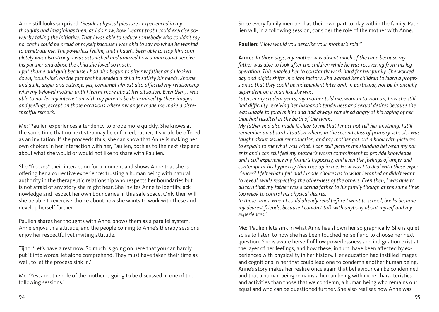Anne still looks surprised: '*Besides physical pleasure I experienced in my thoughts and imaginings then, as I do now, how I learnt that I could exercise power by taking the initiative. That I was able to seduce somebody who couldn't say no, that I could be proud of myself because I was able to say no when he wanted to penetrate me. The powerless feeling that I hadn't been able to stop him completely was also strong. I was astonished and amazed how a man could deceive his partner and abuse the child she loved so much.*

*I felt shame and guilt because I had also begun to pity my father and I looked down, 'adult-like', on the fact that he needed a child to satisfy his needs. Shame and guilt, anger and outrage, yes, contempt almost also affected my relationship with my beloved mother until I learnt more about her situation. Even then, I was able to not let my interaction with my parents be determined by these images and feelings, except on those occasions where my anger made me make a disrespectful remark.'*

Me: 'Paulien experiences a tendency to probe more quickly. She knows at the same time that no next step may be enforced; rather, it should be offered as an invitation. If she proceeds thus, she can show that Anne is making her own choices in her interaction with her, Paulien, both as to the next step and about what she would or would not like to share with Paulien*.*

She "freezes" their interaction for a moment and shows Anne that she is offering her a corrective experience: trusting a human being with natural authority in the therapeutic relationship who respects her boundaries but is not afraid of any story she might hear. She invites Anne to identify, acknowledge and respect her own boundaries in this safe space. Only then will she be able to exercise choice about how she wants to work with these and develop herself further.

Paulien shares her thoughts with Anne, shows them as a parallel system. Anne enjoys this attitude, and the people coming to Anne's therapy sessions enjoy her respectful yet inviting attitude.

Tijno: 'Let's have a rest now. So much is going on here that you can hardly put it into words, let alone comprehend. They must have taken their time as well, to let the process sink in.'

Me: 'Yes, and: the role of the mother is going to be discussed in one of the following sessions.'

Since every family member has their own part to play within the family, Paulien will, in a following session, consider the role of the mother with Anne.

**Paulien:** '*How would you describe your mother's role?'*

**Anne:** '*In those days, my mother was absent much of the time because my*  father was able to look after the children while he was recovering from his leg *operation. This enabled her to constantly work hard for her family. She worked day and nights shifts in a jam factory. She wanted her children to learn a profession so that they could be independent later and, in particular, not be financially dependent on a man like she was.* 

*Later, in my student years, my mother told me, woman to woman, how she still had difficulty receiving her husband's tenderness and sexual desires because she was unable to forgive him and had always remained angry at his raping of her that had resulted in the birth of the twins.*

*My father had also made it clear to me that I must not tell her anything. I still remember an absurd situation where, in the second class of primary school, I was taught about sexual reproduction, and my mother got out a book with pictures to explain to me what was what. I can still picture me standing between my parents and I can still feel my mother's warm commitment to provide knowledge and I still experience my father's hypocrisy, and even the feelings of anger and contempt at his hypocrisy that rose up in me. How was I to deal with these experiences? I felt what I felt and I made choices as to what I wanted or didn't want to reveal, while respecting the other-ness of the others. Even then, I was able to discern that my father was a caring father to his family though at the same time too weak to control his physical desires.*

*In these times, when I could already read before I went to school, books became my dearest friends, because I couldn't talk with anybody about myself and my experiences.'*

Me: 'Paulien lets sink in what Anne has shown her so graphically. She is quiet so as to listen to how she has been touched herself and to choose her next question. She is aware herself of how powerlessness and indignation exist at the layer of her feelings, and how these, in turn, have been affected by experiences with physicality in her history. Her education had instilled images and cognitions in her that could lead one to condemn another human being. Anne's story makes her realise once again that behaviour can be condemned and that a human being remains a human being with more characteristics and activities than those that we condemn, a human being who remains our equal and who can be questioned further. She also realises how Anne was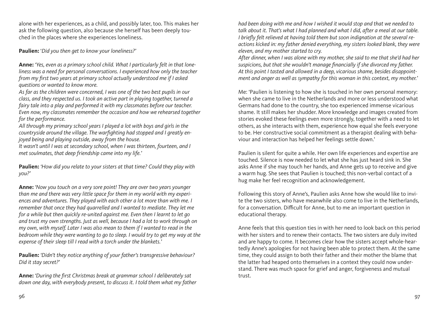alone with her experiences, as a child, and possibly later, too. This makes her ask the following question, also because she herself has been deeply touched in the places where she experiences loneliness.

**Paulien:** '*Did you then get to know your loneliness?'*

**Anne:** *'Yes, even as a primary school child. What I particularly felt in that loneliness was a need for personal conversations. I experienced how only the teacher from my first two years at primary school actually understood me if I asked questions or wanted to know more.*

*As far as the children were concerned, I was one of the two best pupils in our class, and they respected us. I took an active part in playing together, turned a fairy tale into a play and performed it with my classmates before our teacher. Even now, my classmates remember the occasion and how we rehearsed together for the performance.*

*All through my primary school years I played a lot with boys and girls in the countryside around the village. The warfighting had stopped and I greatly enjoyed being and playing outside, away from the house.*

It wasn't until I was at secondary school, when I was thirteen, fourteen, and I *met soulmates, that deep friendship came into my life.'*

**Paulien:** *'How did you relate to your sisters at that time? Could they play with you?'*

**Anne:** *'Now you touch on a very sore point! They are over two years younger than me and there was very little space for them in my world with my experiences and adventures. They played with each other a lot more than with me. I remember that once they had quarrelled and I wanted to mediate. They let me for a while but then quickly re-united against me. Even then I learnt to let go and trust my own strengths. Just as well, because I had a lot to work through on my own, with myself. Later I was also mean to them if I wanted to read in the bedroom while they were wanting to go to sleep. I would try to get my way at the expense of their sleep till I read with a torch under the blankets.'*

**Paulien:** *'Didn't they notice anything of your father's transgressive behaviour? Did it stay secret?'*

**Anne:** *'During the first Christmas break at grammar school I deliberately sat down one day, with everybody present, to discuss it. I told them what my father*  *had been doing with me and how I wished it would stop and that we needed to talk about it. That's what I had planned and what I did, after a meal at our table. I briefly felt relieved at having told them but soon indignation at the several reactions kicked in: my father denied everything, my sisters looked blank, they were eleven, and my mother started to cry.*

*After dinner, when I was alone with my mother, she said to me that she'd had her suspicions, but that she wouldn't manage financially if she divorced my father. At this point I tasted and allowed in a deep, vicarious shame, besides disappointment and anger as well as sympathy for this woman in this context, my mother.'*

Me: 'Paulien is listening to how she is touched in her own personal memory: when she came to live in the Netherlands and more or less understood what Germans had done to the country, she too experienced immense vicarious shame. It still makes her shudder. More knowledge and images created from stories evoked these feelings even more strongly, together with a need to let others, as she interacts with them, experience how equal she feels everyone to be. Her constructive social commitment as a therapist dealing with behaviour and interaction has helped her feelings settle down.'

Paulien is silent for quite a while. Her own life experiences and expertise are touched. Silence is now needed to let what she has just heard sink in. She asks Anne if she may touch her hands, and Anne gets up to receive and give a warm hug. She sees that Paulien is touched; this non-verbal contact of a hug make her feel recognition and acknowledgement.

Following this story of Anne's, Paulien asks Anne how she would like to invite the two sisters, who have meanwhile also come to live in the Netherlands, for a conversation. Difficult for Anne, but to me an important question in educational therapy.

Anne feels that this question ties in with her need to look back on this period with her sisters and to renew their contacts. The two sisters are duly invited and are happy to come. It becomes clear how the sisters accept whole-heartedly Anne's apologies for not having been able to protect them. At the same time, they could assign to both their father and their mother the blame that the latter had heaped onto themselves in a context they could now understand. There was much space for grief and anger, forgiveness and mutual trust.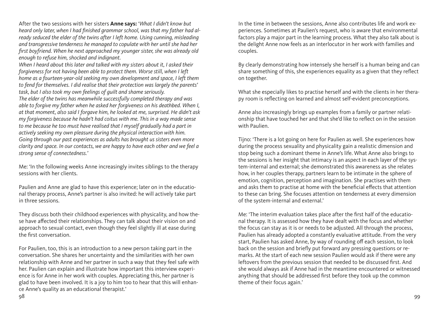After the two sessions with her sisters **Anne says:** '*What I didn't know but heard only later, when I had finished grammar school, was that my father had already seduced the elder of the twins after I left home. Using cunning, misleading and transgressive tenderness he managed to copulate with her until she had her first boyfriend. When he next approached my younger sister, she was already old enough to refuse him, shocked and indignant.*

*When I heard about this later and talked with my sisters about it, I asked their forgiveness for not having been able to protect them. Worse still, when I left home as a fourteen-year-old seeking my own development and space, I left them to fend for themselves. I did realise that their protection was largely the parents' task, but I also took my own feelings of guilt and shame seriously. The elder of the twins has meanwhile successfully completed therapy and was able to forgive my father when he asked her forgiveness on his deathbed. When I, at that moment, also said I forgave him, he looked at me, surprised. He didn't ask my forgiveness because he hadn't had coitus with me. This in a way made sense to me because he too must have realised that I myself gradually had a part in actively seeking my own pleasure during the physical interaction with him. Going through our past experiences as adults has brought us sisters even more clarity and space. In our contacts, we are happy to have each other and we feel a strong sense of connectedness.'*

Me: 'In the following weeks Anne increasingly invites siblings to the therapy sessions with her clients.

Paulien and Anne are glad to have this experience; later on in the educational therapy process, Anne's partner is also invited: he will actively take part in three sessions.

They discuss both their childhood experiences with physicality, and how these have affected their relationships. They can talk about their vision on and approach to sexual contact, even though they feel slightly ill at ease during the first conversation.

For Paulien, too, this is an introduction to a new person taking part in the conversation. She shares her uncertainty and the similarities with her own relationship with Anne and her partner in such a way that they feel safe with her. Paulien can explain and illustrate how important this interview experience is for Anne in her work with couples. Appreciating this, her partner is glad to have been involved. It is a joy to him too to hear that this will enhance Anne's quality as an educational therapist.'

In the time in between the sessions, Anne also contributes life and work experiences. Sometimes at Paulien's request, who is aware that environmental factors play a major part in the learning process. What they also talk about is the delight Anne now feels as an interlocutor in her work with families and couples.

By clearly demonstrating how intensely she herself is a human being and can share something of this, she experiences equality as a given that they reflect on together.

What she especially likes to practise herself and with the clients in her therapy room is reflecting on learned and almost self-evident preconceptions.

Anne also increasingly brings up examples from a family or partner relationship that have touched her and that she'd like to reflect on in the session with Paulien.

Tijno: 'There is a lot going on here for Paulien as well. She experiences how during the process sexuality and physicality gain a realistic dimension and stop being such a dominant theme in Anne's life. What Anne also brings to the sessions is her insight that intimacy is an aspect in each layer of the system-internal and external; she demonstrated this awareness as she relates how, in her couples therapy, partners learn to be intimate in the sphere of emotion, cognition, perception and imagination. She practises with them and asks them to practise at home with the beneficial effects that attention to these can bring. She focuses attention on tenderness at every dimension of the system-internal and external.'

Me: 'The interim evaluation takes place after the first half of the educational therapy. It is assessed how they have dealt with the focus and whether the focus can stay as it is or needs to be adjusted. All through the process, Paulien has already adopted a constantly evaluative attitude. From the very start, Paulien has asked Anne, by way of rounding off each session, to look back on the session and briefly put forward any pressing questions or remarks. At the start of each new session Paulien would ask if there were any leftovers from the previous session that needed to be discussed first. And she would always ask if Anne had in the meantime encountered or witnessed anything that should be addressed first before they took up the common theme of their focus again.'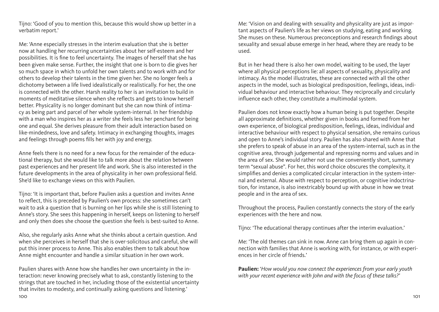Tijno: 'Good of you to mention this, because this would show up better in a verbatim report.'

Me: 'Anne especially stresses in the interim evaluation that she is better now at handling her recurring uncertainties about her self-esteem and her possibilities. It is fine to feel uncertainty. The images of herself that she has been given make sense. Further, the insight that one is born to die gives her so much space in which to unfold her own talents and to work with and for others to develop their talents in the time given her. She no longer feels a dichotomy between a life lived idealistically or realistically. For her, the one is connected with the other. Harsh reality to her is an invitation to build in moments of meditative silence when she reflects and gets to know herself better. Physicality is no longer dominant but she can now think of intimacy as being part and parcel of her whole system-internal. In her friendship with a man who inspires her as a writer she feels less her penchant for being one and equal. She derives pleasure from their adult interaction based on like-mindedness, love and safety. Intimacy in exchanging thoughts, images and feelings through poems fills her with joy and energy.

Anne feels there is no need for a new focus for the remainder of the educational therapy, but she would like to talk more about the relation between past experiences and her present life and work. She is also interested in the future developments in the area of physicality in her own professional field. She'd like to exchange views on this with Paulien.

Tijno: 'It is important that, before Paulien asks a question and invites Anne to reflect, this is preceded by Paulien's own process: she sometimes can't wait to ask a question that is burning on her lips while she is still listening to Anne's story. She sees this happening in herself, keeps on listening to herself and only then does she choose the question she feels is best-suited to Anne.

Also, she regularly asks Anne what she thinks about a certain question. And when she perceives in herself that she is over-solicitous and careful, she will put this inner process to Anne. This also enables them to talk about how Anne might encounter and handle a similar situation in her own work.

100 101 Paulien shares with Anne how she handles her own uncertainty in the interaction: never knowing precisely what to ask, constantly listening to the strings that are touched in her, including those of the existential uncertainty that invites to modesty, and continually asking questions and listening.'

Me: 'Vision on and dealing with sexuality and physicality are just as important aspects of Paulien's life as her views on studying, eating and working. She muses on these. Numerous preconceptions and research findings about sexuality and sexual abuse emerge in her head, where they are ready to be used.

But in her head there is also her own model, waiting to be used, the layer where all physical perceptions lie: all aspects of sexuality, physicality and intimacy. As the model illustrates, these are connected with all the other aspects in the model, such as biological predisposition, feelings, ideas, individual behaviour and interactive behaviour. They reciprocally and circularly influence each other, they constitute a multimodal system.

Paulien does not know exactly how a human being is put together. Despite all approximate definitions, whether given in books and formed from her own experience, of biological predisposition, feelings, ideas, individual and interactive behaviour with respect to physical sensation, she remains curious and open to Anne's individual story. Paulien has also shared with Anne that she prefers to speak of abuse in an area of the system-internal, such as in the cognitive area, through judgemental and repressing norms and values and in the area of sex. She would rather not use the conveniently short, summary term "sexual abuse". For her, this word choice obscures the complexity, it simplifies and denies a complicated circular interaction in the system-internal and external. Abuse with respect to perception, or cognitive indoctrination, for instance, is also inextricably bound up with abuse in how we treat people and in the area of sex.

Throughout the process, Paulien constantly connects the story of the early experiences with the here and now.

Tijno: 'The educational therapy continues after the interim evaluation.'

Me: 'The old themes can sink in now. Anne can bring them up again in connection with families that Anne is working with, for instance, or with experiences in her circle of friends.'

**Paulien:** '*How would you now connect the experiences from your early youth with your recent experience with John and with the focus of these talks?'*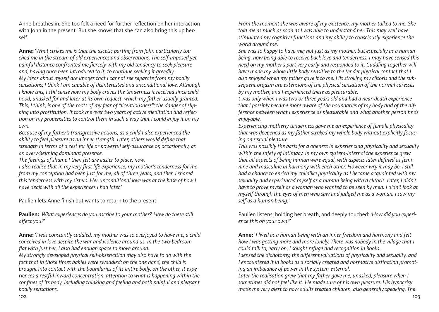Anne breathes in. She too felt a need for further reflection on her interaction with John in the present. But she knows that she can also bring this up herself.

**Anne:** '*What strikes me is that the ascetic parting from John particularly touched me in the stream of old experiences and observations. The self-imposed yet painful distance confronted me fiercely with my old tendency to seek pleasure and, having once been introduced to it, to continue seeking it greedily. My ideas about myself are images that I cannot see separate from my bodily sensations; I think I am capable of disinterested and unconditional love. Although I know this, I still sense how my body craves the tenderness it received since childhood, unasked for and later at its own request, which my father usually granted. This, I think, is one of the roots of my fear of "licentiousness"; the danger of slipping into prostitution. It took me over two years of active meditation and reflection on my propensities to control them in such a way that I could enjoy it on my own.*

*Because of my father's transgressive actions, as a child I also experienced the ability to feel pleasure as an inner strength. Later, others would define that strength in terms of a zest for life or powerful self-assurance or, occasionally, as an overwhelming dominant presence.*

*The feelings of shame I then felt are easier to place, now.*

*I also realise that in my very first life experience, my mother's tenderness for me from my conception had been just for me, all of three years, and then I shared this tenderness with my sisters. Her unconditional love was at the base of how I have dealt with all the experiences I had later.'*

Paulien lets Anne finish but wants to return to the present.

**Paulien:** '*What experiences do you ascribe to your mother? How do these still affect you?'*

**Anne:** '*I was constantly cuddled, my mother was so overjoyed to have me, a child conceived in love despite the war and violence around us. In the two-bedroom flat with just her, I also had enough space to move around.*

*My strongly developed physical self-observation may also have to do with the fact that in those times babies were swaddled: on the one hand, the child is brought into contact with the boundaries of its entire body, on the other, it experiences a restful inward concentration, attention to what is happening within the confines of its body, including thinking and feeling and both painful and pleasant bodily sensations.*

*From the moment she was aware of my existence, my mother talked to me. She told me as much as soon as I was able to understand her. This may well have stimulated my cognitive functions and my ability to consciously experience the world around me.*

*She was so happy to have me; not just as my mother, but especially as a human being, now being able to receive back love and tenderness. I may have sensed this need on my mother's part very early and responded to it. Cuddling together will have made my whole little body sensitive to the tender physical contact that I also enjoyed when my father gave it to me. His stroking my clitoris and the subsequent orgasm are extensions of the physical sensation of the normal caresses by my mother, and I experienced these as pleasurable.*

*t was only when I was two or three years old and had a near-death experience that I possibly became more aware of the boundaries of my body and of the difference between what I experience as pleasurable and what another person finds enjoyable.*

*Experiencing motherly tenderness gave me an experience of female physicality that was deepened as my father stroked my whole body without explicitly focusing on sexual pleasure.*

*This was possibly the basis for a oneness in experiencing physicality and sexuality within the safety of intimacy. In my own system-internal the experience grew that all aspects of being human were equal, with aspects later defined as feminine and masculine in harmony with each other. However wry it may be, I still had a chance to enrich my childlike physicality as I became acquainted with my sexuality and experienced myself as a human being with a clitoris. Later, I didn't have to prove myself as a woman who wanted to be seen by men. I didn't look at myself through the eyes of men who saw and judged me as a woman. I saw myself as a human being.'*

Paulien listens, holding her breath, and deeply touched: '*How did you experience this on your own?'*

**Anne:** '*I lived as a human being with an inner freedom and harmony and felt how I was getting more and more lonely. There was nobody in the village that I could talk to, early on, I sought refuge and recognition in books. I* sensed the dichotomy, the different valuations of physicality and sexuality, and *I encountered it in books as a socially created and normative distinction promoting an imbalance of power in the system-external.*

Later the realisation grew that my father gave me, unasked, pleasure when I *sometimes did not feel like it. He made sure of his own pleasure. His hypocrisy made me very alert to how adults treated children, also generally speaking. The*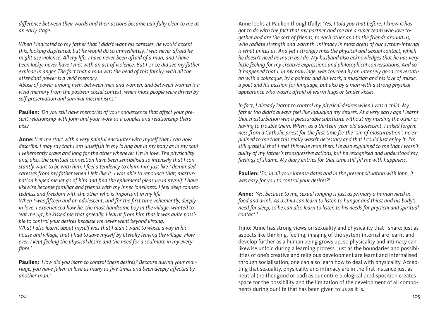*difference between their words and their actions became painfully clear to me at an early stage.*

*When I indicated to my father that I didn't want his caresses, he would accept this, looking displeased, but he would do so immediately. I was never afraid he might use violence. All my life, I have never been afraid of a man, and I have been lucky; never have I met with an act of violence. But I* once *did see my father explode in anger. The fact that a man was the head of this family, with all the attendant power is a vivid memory.*

*Abuse of power among men, between men and women, and between women is a vivid memory from the postwar social context, when most people were driven by self-preservation and survival mechanisms.'*

**Paulien:** '*Do you still have memories of your adolescence that affect your present relationship with John and your work as a couples and relationship therapist?*

**Anne:** '*Let me start with a very painful encounter with myself that I can now describe. I may say that I am unselfish in my loving but in my body as in my soul I vehemently crave and long for the other whenever I'm in love. The physicality and, also, the spiritual connection have been sensibilised so intensely that I constantly want to be with him. I feel a tendency to claim him just like I demanded caresses from my father when I felt like it. I was able to renounce that; masturbation helped me let go of him and find the ephemeral pleasure in myself. I have likewise become familiar and friends with my inner loneliness. I feel deep connectedness and freedom with the other who is important in my life.* 

*When I was fifteen and an adolescent, and for the first time vehemently, deeply in love, I experienced how he, the most handsome boy in the village, wanted to 'eat me up', he kissed me that greedily. I learnt from him that it was quite possible to control your desires because we never went beyond kissing. What I also learnt about myself was that I didn't want to waste away in his house and village, that I had to save myself by literally leaving the village. However, I kept feeling the physical desire and the need for a soulmate in my every fibre.'*

**Paulien:** '*How did you learn to control these desires? Because during your marriage, you have fallen in love as many as five times and been deeply affected by another man.'*

Anne looks at Paulien thoughtfully: '*Yes, I told you that before. I know it has got to do with the fact that my partner and me are a super team who love together and are the sort of friends, to each other and to the friends around us,*  who radiate strength and warmth. Intimacy in most areas of our system-internal *is what unites us. And yet I strongly miss the physical and sexual contact, which he doesn't need as much as I do. My husband also acknowledges that he has very little feeling for my creative expressions and philosophical conversations. And so it happened that I, in my marriage, was touched by an intensely good conversation with a colleague, by a painter and his work, a musician and his love of music, a poet and his passion for language, but also by a man with a strong physical appearance who wasn't afraid of warm hugs or tender kisses.*

*In fact, I already learnt to control my physical desires when I was a child. My father too didn't always feel like indulging my desires. At a very early age I learnt that masturbation was a pleasurable substitute without my needing the other or having to trouble them. When, as a thirteen-year-old adolescent, I asked forgiveness from a Catholic priest for the first time for the "sin of masturbation", he explained to me that this really wasn't necessary and that I could just enjoy it. I'm still grateful that I met this wise man then. He also explained to me that I wasn't guilty of my father's transgressive actions, but he recognised and understood my feelings of shame. My diary entries for that time still fill me with happiness.'*

**Paulien:** '*So, in all your intense dates and in the present situation with John, it was easy for you to control your desires?'*

**Anne:** '*Yes, because to me, sexual longing is just as primary a human need as food and drink. As a child can learn to listen to hunger and thirst and his body's need for sleep, so he can also learn to listen to his needs for physical and spiritual contact.'*

Tijno: 'Anne has strong views on sexuality and physicality that I share: just as aspects like thinking, feeling, imaging of the system-internal are learnt and develop further as a human being grows up, so physicality and intimacy can likewise unfold during a learning process. Just as the boundaries and possibilities of one's creative and religious development are learnt and internalised through socialisation, one can also learn how to deal with physicality. Accepting that sexuality, physicality and intimacy are in the first instance just as neutral (neither good or bad) as our entire biological predisposition creates space for the possibility and the limitation of the development of all components during our life that has been given to us as it is.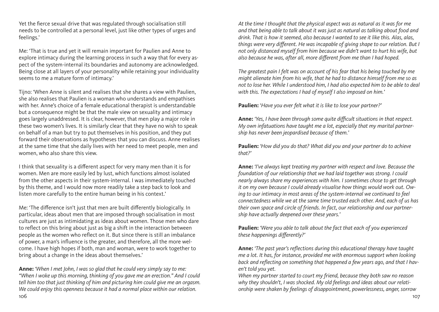Yet the fierce sexual drive that was regulated through socialisation still needs to be controlled at a personal level, just like other types of urges and feelings.'

Me: 'That is true and yet it will remain important for Paulien and Anne to explore intimacy during the learning process in such a way that for every aspect of the system-internal its boundaries and autonomy are acknowledged. Being close at all layers of your personality while retaining your individuality seems to me a mature form of intimacy.'

Tijno: 'When Anne is silent and realises that she shares a view with Paulien, she also realises that Paulien is a woman who understands and empathises with her. Anne's choice of a female educational therapist is understandable but a consequence might be that the male view on sexuality and intimacy goes largely unaddressed. It is clear, however, that men play a major role in these two women's lives. It is similarly clear that they have no wish to speak on behalf of a man but try to put themselves in his position, and they put forward their observations as hypotheses that you can discuss. Anne realises at the same time that she daily lives with her need to meet people, men and women, who also share this view.

I think that sexuality is a different aspect for very many men than it is for women. Men are more easily led by lust, which functions almost isolated from the other aspects in their system-internal. I was immediately touched by this theme, and I would now more readily take a step back to look and listen more carefully to the entire human being in his context.'

Me: 'The difference isn't just that men are built differently biologically. In particular, ideas about men that are imposed through socialisation in most cultures are just as intimidating as ideas about women. Those men who dare to reflect on this bring about just as big a shift in the interaction between people as the women who reflect on it. But since there is still an imbalance of power, a man's influence is the greater, and therefore, all the more welcome. I have high hopes if both, man and woman, were to work together to bring about a change in the ideas about themselves.'

106 107 **Anne:** *'When I met John, I was so glad that he could very simply say to me: "When I woke up this morning, thinking of you gave me an erection." And I could tell him too that just thinking of him and picturing him could give me an orgasm. We could enjoy this openness because it had a normal place within our relation.* 

*At the time I thought that the physical aspect was as natural as it was for me and that being able to talk about it was just as natural as talking about food and drink. That is how it seemed, also because I wanted to see it like this. Alas, alas, things were very different. He was incapable of giving shape to our relation. But I not only distanced myself from him because we didn't want to hurt his wife, but also because he was, after all, more different from me than I had hoped.*

*The greatest pain I felt was on account of his fear that his being touched by me might alienate him from his wife, that he had to distance himself from me so as not to lose her. While I understood him, I had also expected him to be able to deal with this. The expectations I had of myself I also imposed on him.'*

**Paulien:** '*Have you ever felt what it is like to lose your partner?'*

**Anne:** *'Yes, I have been through some quite difficult situations in that respect. My own infatuations have taught me a lot, especially that my marital partnership has never been jeopardised because of them.'*

**Paulien:** *'How did you do that? What did you and your partner do to achieve that?'*

**Anne:** *'I've always kept treating my partner with respect and love. Because the foundation of our relationship that we had laid together was strong. I could nearly always share my experiences with him. I sometimes chose to get through it on my own because I could already visualise how things would work out. Owing to our intimacy in most areas of the system-internal we continued to feel connectedness while we at the same time trusted each other. And, each of us has their own space and circle of friends. In fact, our relationship and our partnership have actually deepened over these years.'*

**Paulien:** *'Were you able to talk about the fact that each of you experienced these happenings differently?'*

**Anne:** *'The past year's reflections during this educational therapy have taught me a lot. It has, for instance, provided me with enormous support when looking back and reflecting on something that happened a few years ago, and that I haven't told you yet.*

*When my partner started to court my friend, because they both saw no reason why they shouldn't, I was shocked. My old feelings and ideas about our relationship were shaken by feelings of disappointment, powerlessness, anger, sorrow*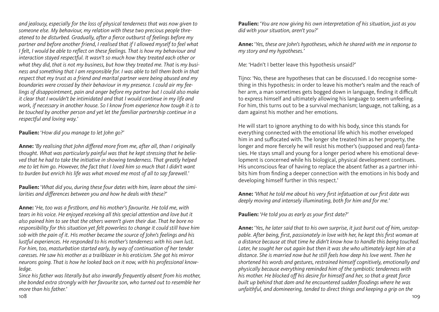*and jealousy, especially for the loss of physical tenderness that was now given to someone else. My behaviour, my relation with these two precious people threatened to be disturbed. Gradually, after a fierce outburst of feelings before my partner and before another friend, I realised that if I allowed myself to feel what I felt, I would be able to reflect on these feelings. That is how my behaviour and interaction stayed respectful. It wasn't so much how they treated each other or*  what they did, that is not my business, but how they treated me. That is my busi*ness and something that I am responsible for. I was able to tell them both in that respect that my trust as a friend and marital partner were being abused and my boundaries were crossed by their behaviour in my presence. I could air my feelings of disappointment, pain and anger before my partner but I could also make it clear that I wouldn't be intimidated and that I would continue in my life and work, if necessary in another house. So I know from experience how tough it is to be touched by another person and yet let the familiar partnership continue in a respectful and loving way.'*

**Paulien:** '*How did you manage to let John go?'*

**Anne:** *'By realising that John differed more from me, after all, than I originally thought. What was particularly painful was that he kept stressing that he believed that he had to take the initiative in showing tenderness. That greatly helped me to let him go. However, the fact that I loved him so much that I didn't want to burden but enrich his life was what moved me most of all to say farewell.'*

**Paulien:** '*What did you, during these four dates with him, learn about the similarities and differences between you and how he deals with these?'*

**Anne:** '*He, too was a firstborn, and his mother's favourite. He told me, with tears in his voice. He enjoyed receiving all this special attention and love but it also pained him to see that the others weren't given their due. That he bore no responsibility for this situation yet felt powerless to change it could still have him sob with the pain of it. His mother became the source of John's feelings and his lustful experiences. He responded to his mother's tenderness with his own lust. For him, too, masturbation started early, by way of continuation of her tender caresses. He saw his mother as a trailblazer in his eroticism. She got his mirror neurons going. That is how he looked back on it now, with his professional knowledge.*

*Since his father was literally but also inwardly frequently absent from his mother, she bonded extra strongly with her favourite son, who turned out to resemble her more than his father.'*

**Paulien:** '*You are now giving his own interpretation of his situation, just as you did with your situation, aren't you?'*

**Anne:** '*Yes, these are John's hypotheses, which he shared with me in response to my story and my hypotheses.'*

Me: 'Hadn't I better leave this hypothesis unsaid?'

Tijno: 'No, these are hypotheses that can be discussed. I do recognise something in this hypothesis: in order to leave his mother's realm and the reach of her arm, a man sometimes gets bogged down in language, finding it difficult to express himself and ultimately allowing his language to seem unfeeling. For him, this turns out to be a survival mechanism; language, not talking, as a dam against his mother and her emotions.

He will start to ignore anything to do with his body, since this stands for everything connected with the emotional life which his mother enveloped him in and suffocated with. The longer she treated him as her property, the longer and more fiercely he will resist his mother's (supposed and real) fantasies. He stays small and young for a longer period where his emotional development is concerned while his biological, physical development continues. His unconscious fear of having to replace the absent father as a partner inhibits him from finding a deeper connection with the emotions in his body and developing himself further in this respect.'

**Anne:** *'What he told me about his very first infatuation at our first date was deeply moving and intensely illuminating, both for him and for me.'*

**Paulien:** '*He told you as early as your first date?'*

**Anne:** '*Yes, he later said that to his own surprise, it just burst out of him, unstoppable. After being, first, passionately in love with her, he kept this first woman at a distance because at that time he didn't know how to handle this being touched.*  Later, he sought her out again but then it was she who ultimately kept him at a *distance. She is married now but he still feels how deep his love went. Then he shortened his words and gestures, restrained himself cognitively, emotionally and physically because everything reminded him of the symbiotic tenderness with his mother. He blocked off his desire for himself and her, so that a great force built up behind that dam and he encountered sudden floodings where he was unfaithful, and domineering, tended to direct things and keeping a grip on the*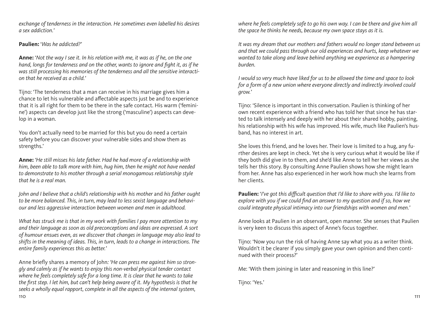*exchange of tenderness in the interaction. He sometimes even labelled his desires a sex addiction.'*

#### **Paulien:** '*Was he addicted?'*

**Anne:** '*Not the way I see it. In his relation with me, it was as if he, on the one hand, longs for tenderness and on the other, wants to ignore and fight it, as if he was still processing his memories of the tenderness and all the sensitive interaction that he received as a child.'*

Tijno: 'The tenderness that a man can receive in his marriage gives him a chance to let his vulnerable and affectable aspects just be and to experience that it is all right for them to be there in the safe contact. His warm ('feminine') aspects can develop just like the strong ('masculine') aspects can develop in a woman.

You don't actually need to be married for this but you do need a certain safety before you can discover your vulnerable sides and show them as strengths.'

**Anne:** *'He still misses his late father. Had he had more of a relationship with him, been able to talk more with him, hug him, then he might not have needed to demonstrate to his mother through a serial monogamous relationship style that he is a real man.*

*John and I believe that a child's relationship with his mother* and *his father ought to be more balanced. This, in turn, may lead to less sexist language and behaviour and less aggressive interaction between women and men in adulthood.*

*What has struck me is that in my work with families I pay more attention to my and their language as soon as old preconceptions and ideas are expressed. A sort of humour ensues even, as we discover that changes in language may also lead to shifts in the meaning of ideas. This, in turn, leads to a change in interactions. The entire family experiences this as better.'*

110 and the contract of the contract of the contract of the contract of the contract of the contract of the contract of the contract of the contract of the contract of the contract of the contract of the contract of the co Anne briefly shares a memory of John*: 'He can press me against him so strongly and calmly as if he wants to enjoy this non-verbal physical tender contact where he feels completely safe for a long time. It is clear that he wants to take the first step. I let him, but can't help being aware of it. My hypothesis is that he seeks a wholly equal rapport, complete in all the aspects of the internal system,* 

*where he feels completely safe to go his own way. I can be there and give him all the space he thinks he needs, because my own space stays as it is.*

*It was my dream that our mothers and fathers would no longer stand between us and that we could pass through our old experiences and hurts, keep whatever we wanted to take along and leave behind anything we experience as a hampering burden.*

*I would so very much have liked for us to be allowed the time and space to look for a form of a new union where everyone directly and indirectly involved could grow.'*

Tijno: 'Silence is important in this conversation. Paulien is thinking of her own recent experience with a friend who has told her that since he has started to talk intensely and deeply with her about their shared hobby, painting, his relationship with his wife has improved. His wife, much like Paulien's husband, has no interest in art.

She loves this friend, and he loves her. Their love is limited to a hug, any further desires are kept in check. Yet she is very curious what it would be like if they both did give in to them, and she'd like Anne to tell her her views as she tells her this story. By consulting Anne Paulien shows how she might learn from her. Anne has also experienced in her work how much she learns from her clients.

**Paulien:** '*I've got this difficult question that I'd like to share with you. I'd like to explore with you if we could find an answer to my question and if so, how we could integrate physical intimacy into our friendships with women and men.'*

Anne looks at Paulien in an observant, open manner. She senses that Paulien is very keen to discuss this aspect of Anne's focus together.

Tijno: 'Now you run the risk of having Anne say what you as a writer think. Wouldn't it be clearer if you simply gave your own opinion and then continued with their process?'

Me: 'With them joining in later and reasoning in this line?'

Tijno: 'Yes.'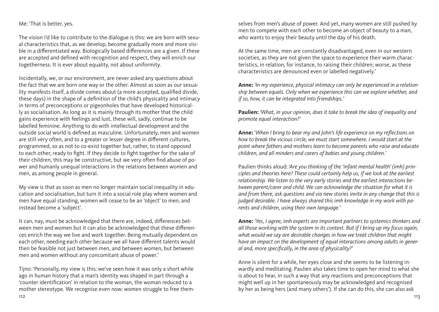#### Me: 'That is better, yes.

The vision I'd like to contribute to the dialogue is this: we are born with sexual characteristics that, as we develop, become gradually more and more visible in a differentiated way. Biologically based differences are a given. If these are accepted and defined with recognition and respect, they will enrich our togetherness. It is ever about equality, not about uniformity.

Incidentally, we, or our environment, are never asked any questions about the fact that we are born one way or the other. Almost as soon as our sexuality manifests itself, a divide comes about (a more accepted, qualified divide, these days) in the shape of a definition of the child's physicality and intimacy in terms of preconceptions or pigeonholes that have developed historically as socialisation. As long as it is mainly through its mother that the child gains experience with feelings and lust, these will, sadly, continue to be labelled feminine. Anything to do with intellectual development and the outside social world is defined as masculine. Unfortunately, men and women are still very often, and to a greater or lesser degree in different cultures, programmed, so as not to co-exist together but, rather, to stand opposed to each other, ready to fight. If they decide to fight together for the sake of their children, this may be constructive, but we very often find abuse of power and humanly unequal interactions in the relations between women and men, as among people in general.

My view is that as soon as men no longer maintain social inequality in education and socialisation, but turn it into a social role play where women and men have equal standing, women will cease to be an 'object' to men, and instead become a 'subject'.

It can, nay, must be acknowledged that there are, indeed, differences between men and women but it can also be acknowledged that these differences enrich the way we live and work together. Being mutually dependent on each other, needing each other because we all have different talents would then be feasible not just between men, and between women, but between men and women without any concomitant abuse of power.'

112 and the contract of the contract of the contract of the contract of the contract of the contract of the contract of the contract of the contract of the contract of the contract of the contract of the contract of the co Tijno: 'Personally, my view is this: we've seen how it was only a short while ago in human history that a man's identity was shaped in part through a 'counter identification' in relation to the woman, the woman reduced to a mother stereotype. We recognise even now: women struggle to free them-

selves from men's abuse of power. And yet, many women are still pushed by men to compete with each other to become an object of beauty to a man, who wants to enjoy their beauty until the day of his death.

At the same time, men are constantly disadvantaged, even in our western societies, as they are not given the space to experience their warm characteristics, in relation, for instance, to raising their children; worse, as these characteristics are denounced even or labelled negatively.'

**Anne:** *'In my experience, physical intimacy can only be experienced in a relationship between equals. Only when we experience this can we explore whether, and if so, how, it can be integrated into friendships.'* 

**Paulien:** *'What, in your opinion, does it take to break the idea of inequality and promote equal interaction?'*

**Anne:** '*When I bring to bear my and John's life experience on my reflections on how to break the vicious circle, we must start somewhere. I would start at the point where fathers and mothers learn to become parents who raise and educate children, and all minders and carers of babies and young children.'*

Paulien thinks aloud: *'Are you thinking of the 'infant mental health' (imh) principles and theories here? These could certainly help us, if we look at the earliest relationship. We listen to the very early stories and the earliest interactions between parent/carer and child. We can acknowledge the situation for what it is and from there, ask questions and via new stories invite in any change that this is judged desirable. I have always shared this imh knowledge in my work with parents and children, using their own language.'*

**Anne:** *'Yes, I agree, imh experts are important partners to systemics thinkers and all those working with the system in its context. But if I bring up my focus again, what would we say are desirable changes in how we treat children that might have an impact on the development of equal interactions among adults in general and, more specifically, in the area of physicality?'*

Anne is silent for a while, her eyes close and she seems to be listening inwardly and meditating. Paulien also takes time to open her mind to what she is about to hear, in such a way that any reactions and preconceptions that might well up in her spontaneously may be acknowledged and recognised by her as being hers (and many others'). If she can do this, she can also ask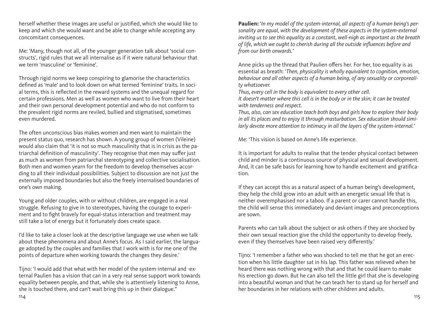herself whether these images are useful or justified, which she would like to keep and which she would want and be able to change while accepting any concomitant consequences.

Me: 'Many, though not all, of the younger generation talk about 'social constructs', rigid rules that we all internalise as if it were natural behaviour that we term 'masculine' or 'feminine'.

Through rigid norms we keep conspiring to glamorise the characteristics defined as 'male' and to look down on what termed 'feminine' traits. In social terms, this is reflected in the reward systems and the unequal regard for certain professions. Men as well as women who want to live from their heart and their own personal development potential and who do not conform to the prevalent rigid norms are reviled, bullied and stigmatised, sometimes even murdered.

The often unconscious bias makes women and men want to maintain the present status quo, research has shown. A young group of women (Vileine) would also claim that 'it is not so much masculinity that is in crisis as the patriarchal definition of masculinity'. They recognise that men may suffer just as much as women from patriarchal stereotyping and collective socialisation. Both men and women yearn for the freedom to develop themselves according to all their individual possibilities. Subject to discussion are not just the externally imposed boundaries but also the freely internalised boundaries of one's own making.

Young and older couples, with or without children, are engaged in a real struggle. Refusing to give in to stereotypes, having the courage to experiment and to fight bravely for equal-status interaction and treatment may still take a lot of energy but it fortunately does create space.

I'd like to take a closer look at the descriptive language we use when we talk about these phenomena and about Anne's focus. As I said earlier, the language adopted by the couples and families that I work with is for me one of the points of departure when working towards the changes they desire.'

Tijno: 'I would add that what with her model of the system-internal and -external Paulien has a vision that can in a very real sense support work towards equality between people, and that, while she is attentively listening to Anne, she is touched there, and can't wait bring this up in their dialogue."

**Paulien:** '*In my model of the system-internal, all aspects of a human being's personality are equal, with the development of these aspects in the system-external inviting us to see this equality as a constant, well-nigh as important as the breath of life, which we ought to cherish during all the outside influences before and from our birth onwards.'*

Anne picks up the thread that Paulien offers her. For her, too equality is as essential as breath: '*Then, physicality is wholly equivalent to cognition, emotion, behaviour and all other aspects of a human being, of any sexuality or corporeality whatsoever.*

*Thus, every cell in the body is equivalent to every other cell.* 

*It doesn't matter where this cell is in the body or in the skin; it can be treated with tenderness and respect.*

*Thus, also, can sex education teach both boys and girls how to explore their body in all its places and to enjoy it through masturbation. Sex education should similarly devote more attention to intimacy in all the layers of the system-internal.'*

Me: 'This vision is based on Anne's life experience.

It is important for adults to realise that the tender physical contact between child and minder is a continuous source of physical and sexual development. And, it can be safe basis for learning how to handle excitement and gratification.

If they can accept this as a natural aspect of a human being's development, they help the child grow into an adult with an energetic sexual life that is neither overemphasised nor a taboo. If a parent or carer cannot handle this, the child will sense this immediately and deviant images and preconceptions are sown.

Parents who can talk about the subject or ask others if they are shocked by their own sexual reaction give the child the opportunity to develop freely, even if they themselves have been raised very differently.'

Tijno: 'I remember a father who was shocked to tell me that he got an erection when his little daughter sat in his lap. This father was relieved when he heard there was nothing wrong with that and that he could learn to make his erection go down. But he can also tell the little girl that she is developing into a beautiful woman and that he can teach her to stand up for herself and her boundaries in her relations with other children and adults.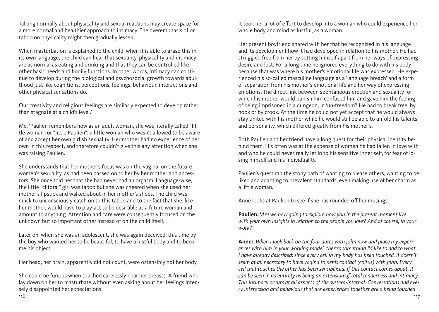Talking normally about physicality and sexual reactions may create space for a more normal and healthier approach to intimacy. The overemphasis of or taboo on physicality might then gradually lessen.

When masturbation is explained to the child, when it is able to grasp this in its own language, the child can hear that sexuality, physicality and intimacy are as normal as eating and drinking and that they can be controlled like other basic needs and bodily functions. In other words, intimacy can continue to develop during the biological and psychosocial growth towards adulthood just like cognitions, perceptions, feelings, behaviour, interactions and other physical sensations do.

Our creativity and religious feelings are similarly expected to develop rather than stagnate at a child's level.'

Me: 'Paulien remembers how as an adult woman, she was literally called "little woman" or "little Paulien"; a little woman who wasn't allowed to be aware of and accept her own girlish sexuality. Her mother had no experience of her own in this respect, and therefore couldn't give this any attention when she was raising Paulien.

She understands that her mother's focus was on the vagina, on the future women's sexuality, as had been passed on to her by her mother and ancestors. She once told her that she had never had an orgasm. Language-wise, the little "clitoral" girl was taboo but she was cheered when she used her mother's lipstick and walked about in her mother's shoes. The child was quick to unconsciously catch on to this taboo and to the fact that she, like her mother, would have to play-act to be desirable as a future woman and amount to anything. Attention and care were consequently focused on the unknown but so important other instead of on the child itself.

Later on, when she was an adolescent, she was again deceived: this time by the boy who wanted her to be beautiful, to have a lustful body and to become his object.

Her head, her brain, apparently did not count, were ostensibly not her body.

116 117 She could be furious when touched carelessly near her breasts. A friend who lay down on her to masturbate without even asking about her feelings intensely disappointed her expectations.

It took her a lot of effort to develop into a woman who could experience her whole body and mind as lustful, as a woman.

Her present boyfriend shared with her that he recognised in his language and its development how it had developed in relation to his mother. He had struggled free from her by setting himself apart from her ways of expressing desire and lust. For a long time he ignored everything to do with his body because that was where his mother's emotional life was expressed. He experienced his so-called masculine language as a 'language breach' and a form of separation from his mother's emotional life and her way of expressing emotions. The direct link between spontaneous erection and sexuality for which his mother would punish him confused him and gave him the feeling of being imprisoned in a dungeon, in 'un-freedom'! He had to break free, by hook or by crook. At the time he could not yet accept that he would always stay united with his mother while he would still be able to unfold his talents and personality, which differed greatly from his mother's.

Both Paulien and her friend have a long quest for their physical identity behind them. His often was at the expense of women he had fallen in love with and who he could never really let in to his sensitive inner self, for fear of losing himself and his individuality.

Paulien's quest ran the stony path of wanting to please others, wanting to be liked and adapting to prevalent standards, even making use of her charm as a little woman.'

Anne looks at Paulien to see if she has rounded off her musings.

**Paulien:** '*Are we now going to explore how you in the present moment live with your own insights in relation to the people you love? And of course, in your work?'*

**Anne:** '*When I look back on the four dates with John now and place my experiences with him in your working model, there's something I'd like to add to what I have already described: since every cell in my body has been touched, it doesn't seem at all necessary to have vagina to penis contact (coitus) with John. Every cell that touches the other has been sensibilised. If this contact comes about, it can be seen in its entirety as being an extension of total tenderness and intimacy. This intimacy occurs at all aspects of the system-internal. Conversations and every interaction and behaviour that are experienced together are a being touched*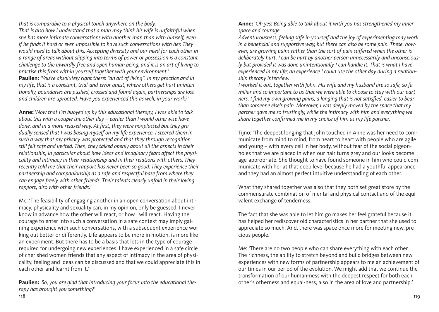*that is comparable to a physical touch anywhere on the body.*

*That is also how I understand that a man may think his wife is unfaithful when she has more intimate conversations with another man than with himself, even if he finds it hard or even impossible to have such conversations with her. They would need to talk about this. Accepting diversity and our need for each other in a range of areas without slipping into terms of power or possession is a constant challenge to the inwardly free and open human being, and it is an art of living to practise this from within yourself together with your environment.'*

**Paulien:** *'You're absolutely right there: "an art of living". In my practice and in my life, that is a constant, trial-and-error quest, where others get hurt unintentionally, boundaries are pushed, crossed and found again, partnerships are lost and children are uprooted. Have you experienced this as well, in your work?'*

**Anne:** '*Now that I'm buoyed up by this educational therapy, I was able to talk about this with a couple the other day – earlier than I would otherwise have done, and in a more relaxed way. At first, they were nonplussed but they gradually sensed that I was basing myself on my life experience. I steered them in such a way that my privacy was protected and that they through recognition still felt safe and invited. Then, they talked openly about all the aspects in their relationship, in particular about how ideas and imaginary fears affect the physicality and intimacy in their relationship and in their relations with others. They recently told me that their rapport has never been so good. They experience their partnership and companionship as a safe and respectful base from where they can engage freely with other friends. Their talents clearly unfold in their loving rapport, also with other friends.'*

Me: 'The feasibility of engaging another in an open conversation about intimacy, physicality and sexuality can, in my opinion, only be guessed. I never know in advance how the other will react, or how I will react. Having the courage to enter into such a conversation in a safe context may imply gaining experience with such conversations, with a subsequent experience working out better or differently. Life appears to be more in motion, is more like an experiment. But there has to be a basis that lets in the type of courage required for undergoing new experiences. I have experienced in a safe circle of cherished women friends that any aspect of intimacy in the area of physicality, feeling and ideas can be discussed and that we could appreciate this in each other and learnt from it.'

118 119 **Paulien:** '*So, you are glad that introducing your focus into the educational therapy has brought you something?'*

**Anne:** '*Oh yes! Being able to talk about it with you has strengthened my inner space and courage.*

*Adventurousness, feeling safe in yourself and the joy of experimenting may work in a beneficial and supportive way, but there can also be some pain. These, however, are growing pains rather than the sort of pain suffered when the other is deliberately hurt. I can be hurt by another person unnecessarily and unconsciously but provided it was done unintentionally I can handle it. That is what I have experienced in my life; an experience I could use the other day during a relationship therapy interview.*

*I worked it out, together with John. His wife and my husband are so safe, so familiar and so important to us that we were able to choose to stay with our partners. I find my own growing pains, a longing that is not satisfied, easier to bear than someone else's pain. Moreover, I was deeply moved by the space that my partner gave me so trustingly, while the intimacy with him and everything we share together confirmed me in my choice of him as my life partner.'*

Tijno: 'The deepest longing that John touched in Anne was her need to communicate from mind to mind, from heart to heart with people who are agile and young – with every cell in her body, without fear of the social pigeonholes that we are placed in when our hair turns grey and our looks become age-appropriate. She thought to have found someone in him who could communicate with her at that deep level because he had a youthful appearance and they had an almost perfect intuitive understanding of each other.

What they shared together was also that they both set great store by the commensurate combination of mental and physical contact and of the equivalent exchange of tenderness.

The fact that she was able to let him go makes her feel grateful because it has helped her rediscover old characteristics in her partner that she used to appreciate so much. And, there was space once more for meeting new, precious people.'

Me: 'There are no two people who can share everything with each other. The richness, the ability to stretch beyond and build bridges between new experiences with new forms of partnership appears to me an achievement of our times in our period of the evolution. We might add that we continue the transformation of our human-ness with the deepest respect for both each other's otherness and equal-ness, also in the area of love and partnership.'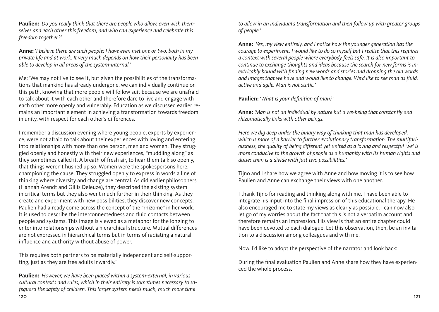**Paulien:** '*Do you really think that there are people who allow, even wish themselves and each other this freedom, and who can experience and celebrate this freedom together?'*

**Anne:** '*I believe there are such people: I have even met one or two, both in my private life and at work. It very much depends on how their personality has been able to develop in all areas of the system-internal.'*

Me: 'We may not live to see it, but given the possibilities of the transformations that mankind has already undergone, we can individually continue on this path, knowing that more people will follow suit because we are unafraid to talk about it with each other and therefore dare to live and engage with each other more openly and vulnerably. Education as we discussed earlier remains an important element in achieving a transformation towards freedom in unity, with respect for each other's differences.

I remember a discussion evening where young people, experts by experience, were not afraid to talk about their experiences with loving and entering into relationships with more than one person, men and women. They struggled openly and honestly with their new experiences, "muddling along" as they sometimes called it. A breath of fresh air, to hear them talk so openly, that things weren't hushed up so. Women were the spokespersons here, championing the cause. They struggled openly to express in words a line of thinking where diversity and change are central. As did earlier philosophers (Hannah Arendt and Gillis Deleuze), they described the existing system in critical terms but they also went much further in their thinking. As they create and experiment with new possibilities, they discover new concepts. Paulien had already come across the concept of the "rhizome" in her work. It is used to describe the interconnectedness and fluid contacts between people and systems. This image is viewed as a metaphor for the longing to enter into relationships without a hierarchical structure. Mutual differences are not expressed in hierarchical terms but in terms of radiating a natural influence and authority without abuse of power.

This requires both partners to be materially independent and self-supporting, just as they are free adults inwardly.'

 $120$ **Paulien:** '*However, we have been placed within a system-external, in various cultural contexts and rules, which in their entirety is sometimes necessary to safeguard the safety of children. This larger system needs much, much more time* 

*to allow in an individual's transformation and then follow up with greater groups of people.'*

**Anne:** '*Yes, my view entirely, and I notice how the younger generation has the courage to experiment. I would like to do so myself but I realise that this requires a context with several people where everybody feels safe. It is also important to continue to exchange thoughts and ideas because the search for new forms is inextricably bound with finding new words and stories and dropping the old words and images that we have and would like to change. We'd like to see man as fluid, active and agile. Man is not static.'*

**Paulien:** *'What is your definition of man?'*

**Anne:** *'Man is not an individual by nature but a we-being that constantly and rhizomatically links with other beings.*

*Here we dig deep under the binary way of thinking that man has developed, which is more of a barrier to further evolutionary transformation. The multifariousness, the quality of being different yet united as a loving and respectful 'we' is more conducive to the growth of people as a humanity with its human rights and duties than is a divide with just two possibilities.'*

Tijno and I share how we agree with Anne and how moving it is to see how Paulien and Anne can exchange their views with one another.

I thank Tijno for reading and thinking along with me. I have been able to integrate his input into the final impression of this educational therapy. He also encouraged me to state my views as clearly as possible. I can now also let go of my worries about the fact that this is not a verbatim account and therefore remains an impression. His view is that an entire chapter could have been devoted to each dialogue. Let this observation, then, be an invitation to a discussion among colleagues and with me.

Now, I'd like to adopt the perspective of the narrator and look back:

During the final evaluation Paulien and Anne share how they have experienced the whole process.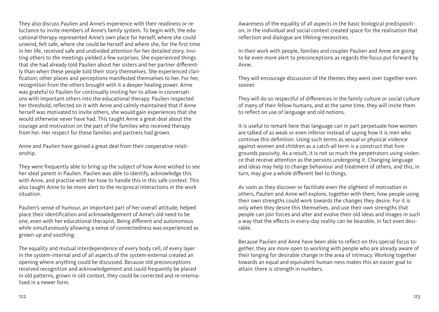They also discuss Paulien and Anne's experience with their readiness or reluctance to invite members of Anne's family system. To begin with, the educational therapy represented Anne's own place for herself, where she could unwind, felt safe, where she could be herself and where she, for the first time in her life, received safe and undivided attention for her detailed story. Inviting others to the meetings yielded a few surprises. She experienced things that she had already told Paulien about her sisters and her partner differently than when these people told their story themselves. She experienced clarification; other places and perceptions manifested themselves to her. For her, recognition from the others brought with it a deeper healing power. Anne was grateful to Paulien for continually inviting her to allow in conversations with important others into the educational therapy. Paulien respected her threshold, reflected on it with Anne and calmly maintained that if Anne herself was motivated to invite others, she would gain experiences that she would otherwise never have had. This taught Anne a great deal about the courage and motivation on the part of the families who received therapy from her. Her respect for these families and partners had grown.

Anne and Paulien have gained a great deal from their cooperative relationship.

They were frequently able to bring up the subject of how Anne wished to see her ideal parent in Paulien. Paulien was able to identify, acknowledge this with Anne, and practise with her how to handle this in this safe context. This also taught Anne to be more alert to the reciprocal interactions in the work situation.

Paulien's sense of humour, an important part of her overall attitude, helped place their identification and acknowledgement of Anne's old need to be one, even with her educational therapist. Being different and autonomous while simultaneously allowing a sense of connectedness was experienced as grown-up and soothing.

The equality and mutual interdependence of every body cell, of every layer in the system-internal and of all aspects of the system-external created an opening where anything could be discussed. Because old preconceptions received recognition and acknowledgement and could frequently be placed in old patterns, grown in old context, they could be corrected and re-internalised in a newer form.

Awareness of the equality of all aspects in the basic biological predisposition, in the individual and social context created space for the realisation that reflection and dialogue are lifelong necessities.

In their work with people, families and couples Paulien and Anne are going to be even more alert to preconceptions as regards the focus put forward by Anne.

They will encourage discussion of the themes they went over together even sooner.

They will do so respectful of differences in the family culture or social culture of many of their fellow humans, and at the same time, they will invite them to reflect on use of language and old notions.

It is useful to remark here that language can in part perpetuate how women are talked of as weak or even inferior instead of saying how it is men who continue this definition. Using such terms as sexual or physical violence against women and children as a catch-all term is a construct that foregrounds passivity. As a result, it is not so much the perpetrators using violence that receive attention as the persons undergoing it. Changing language and ideas may help to change behaviour and treatment of others, and this, in turn, may give a whole different feel to things.

As soon as they discover or facilitate even the slightest of motivation in others, Paulien and Anne will explore, together with them, how people using their own strengths could work towards the changes they desire. For it is only when they desire this themselves, and use their own strengths that people can join forces and alter and evolve their old ideas and images in such a way that the effects in every-day reality can be bearable, in fact even desirable.

Because Paulien and Anne have been able to reflect on this special focus together, they are more open to working with people who are already aware of their longing for desirable change in the area of intimacy. Working together towards an equal and equivalent human-ness makes this an easier goal to attain: there is strength in numbers.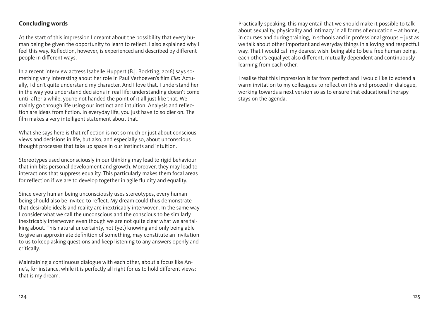## <span id="page-63-0"></span>**Concluding words**

At the start of this impression I dreamt about the possibility that every human being be given the opportunity to learn to reflect. I also explained why I feel this way. Reflection, however, is experienced and described by different people in different ways.

In a recent interview actress Isabelle Huppert (B.J. Bockting, 2016) says something very interesting about her role in Paul Verhoeven's film *Elle*: 'Actually, I didn't quite understand my character. And I love that. I understand her in the way you understand decisions in real life: understanding doesn't come until after a while, you're not handed the point of it all just like that. We mainly go through life using our instinct and intuition. Analysis and reflection are ideas from fiction. In everyday life, you just have to soldier on. The film makes a very intelligent statement about that.'

What she says here is that reflection is not so much or just about conscious views and decisions in life, but also, and especially so, about unconscious thought processes that take up space in our instincts and intuition.

Stereotypes used unconsciously in our thinking may lead to rigid behaviour that inhibits personal development and growth. Moreover, they may lead to interactions that suppress equality. This particularly makes them focal areas for reflection if we are to develop together in agile fluidity and equality.

Since every human being unconsciously uses stereotypes, every human being should also be invited to reflect. My dream could thus demonstrate that desirable ideals and reality are inextricably interwoven. In the same way I consider what we call the unconscious and the conscious to be similarly inextricably interwoven even though we are not quite clear what we are talking about. This natural uncertainty, not (yet) knowing and only being able to give an approximate definition of something, may constitute an invitation to us to keep asking questions and keep listening to any answers openly and critically.

Maintaining a continuous dialogue with each other, about a focus like Anne's, for instance, while it is perfectly all right for us to hold different views: that is my dream.

Practically speaking, this may entail that we should make it possible to talk about sexuality, physicality and intimacy in all forms of education – at home, in courses and during training, in schools and in professional groups – just as we talk about other important and everyday things in a loving and respectful way. That I would call my dearest wish: being able to be a free human being, each other's equal yet also different, mutually dependent and continuously learning from each other.

I realise that this impression is far from perfect and I would like to extend a warm invitation to my colleagues to reflect on this and proceed in dialogue, working towards a next version so as to ensure that educational therapy stays on the agenda.